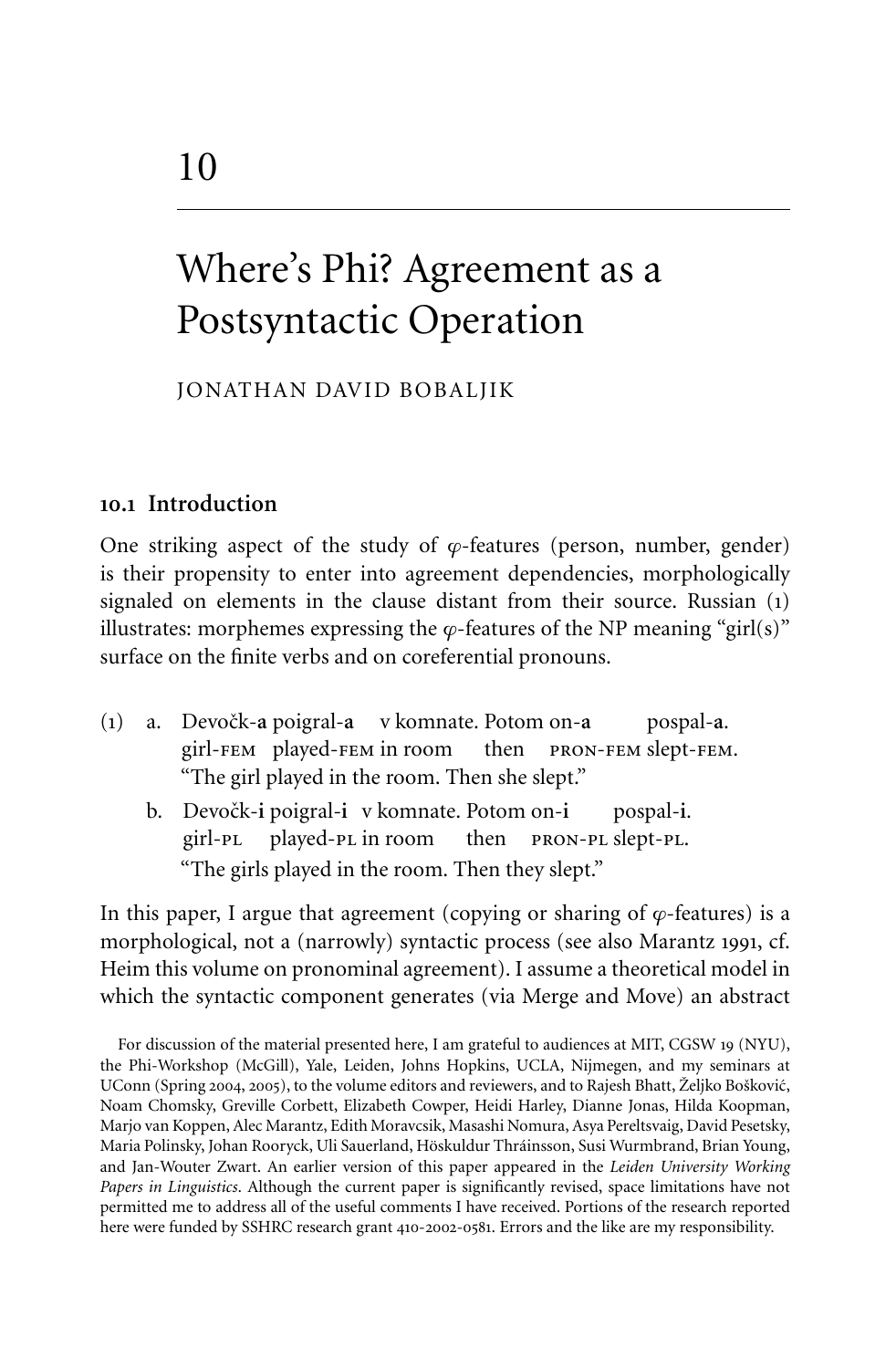# Where's Phi? Agreement as a Postsyntactic Operation

JONATHAN DAVID BOBALJIK

## **10.1 Introduction**

One striking aspect of the study of  $\varphi$ -features (person, number, gender) is their propensity to enter into agreement dependencies, morphologically signaled on elements in the clause distant from their source. Russian (1) illustrates: morphemes expressing the  $\varphi$ -features of the NP meaning "girl(s)" surface on the finite verbs and on coreferential pronouns.

- (1) a. Devočk-a poigral-a v komnate. Potom on-a girl-fem played-fem in room then pron-fem slept-fem. pospal-**a**. "The girl played in the room. Then she slept."
	- b. Devočk-i poigral-i v komnate. Potom on-i girl-pl played-pl in room then pron-pl slept-pl. pospal-**i**. "The girls played in the room. Then they slept."

In this paper, I argue that agreement (copying or sharing of  $\varphi$ -features) is a morphological, not a (narrowly) syntactic process (see also Marantz 1991, cf. Heim this volume on pronominal agreement). I assume a theoretical model in which the syntactic component generates (via Merge and Move) an abstract

For discussion of the material presented here, I am grateful to audiences at MIT, CGSW 19 (NYU), the Phi-Workshop (McGill), Yale, Leiden, Johns Hopkins, UCLA, Nijmegen, and my seminars at UConn (Spring 2004, 2005), to the volume editors and reviewers, and to Rajesh Bhatt, Željko Boškovic,´ Noam Chomsky, Greville Corbett, Elizabeth Cowper, Heidi Harley, Dianne Jonas, Hilda Koopman, Marjo van Koppen, Alec Marantz, Edith Moravcsik, Masashi Nomura, Asya Pereltsvaig, David Pesetsky, Maria Polinsky, Johan Rooryck, Uli Sauerland, Höskuldur Thráinsson, Susi Wurmbrand, Brian Young, and Jan-Wouter Zwart. An earlier version of this paper appeared in the *Leiden University Working Papers in Linguistics*. Although the current paper is significantly revised, space limitations have not permitted me to address all of the useful comments I have received. Portions of the research reported here were funded by SSHRC research grant 410-2002-0581. Errors and the like are my responsibility.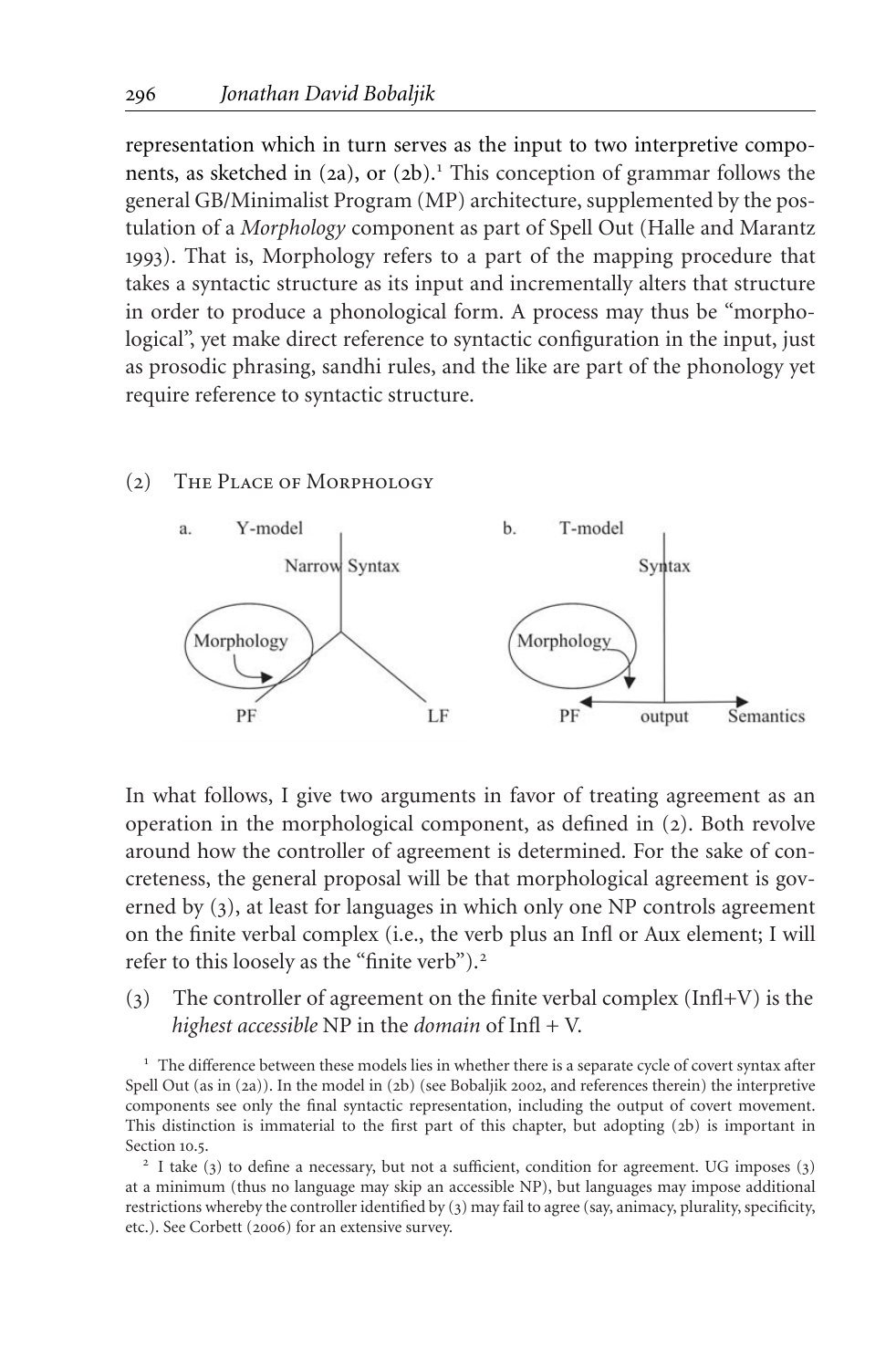representation which in turn serves as the input to two interpretive components, as sketched in  $(2a)$ , or  $(2b)$ .<sup>1</sup> This conception of grammar follows the general GB/Minimalist Program (MP) architecture, supplemented by the postulation of a *Morphology* component as part of Spell Out (Halle and Marantz 1993). That is, Morphology refers to a part of the mapping procedure that takes a syntactic structure as its input and incrementally alters that structure in order to produce a phonological form. A process may thus be "morphological", yet make direct reference to syntactic configuration in the input, just as prosodic phrasing, sandhi rules, and the like are part of the phonology yet require reference to syntactic structure.

#### (2) The Place of Morphology



In what follows, I give two arguments in favor of treating agreement as an operation in the morphological component, as defined in (2). Both revolve around how the controller of agreement is determined. For the sake of concreteness, the general proposal will be that morphological agreement is governed by (3), at least for languages in which only one NP controls agreement on the finite verbal complex (i.e., the verb plus an Infl or Aux element; I will refer to this loosely as the "finite verb").<sup>2</sup>

(3) The controller of agreement on the finite verbal complex (Infl+V) is the *highest accessible* NP in the *domain* of Infl + V.

<sup>1</sup> The difference between these models lies in whether there is a separate cycle of covert syntax after Spell Out (as in (2a)). In the model in (2b) (see Bobaljik 2002, and references therein) the interpretive components see only the final syntactic representation, including the output of covert movement. This distinction is immaterial to the first part of this chapter, but adopting (2b) is important in Section 10.5.

<sup>2</sup> I take (3) to define a necessary, but not a sufficient, condition for agreement. UG imposes (3) at a minimum (thus no language may skip an accessible NP), but languages may impose additional restrictions whereby the controller identified by (3) may fail to agree (say, animacy, plurality, specificity, etc.). See Corbett (2006) for an extensive survey.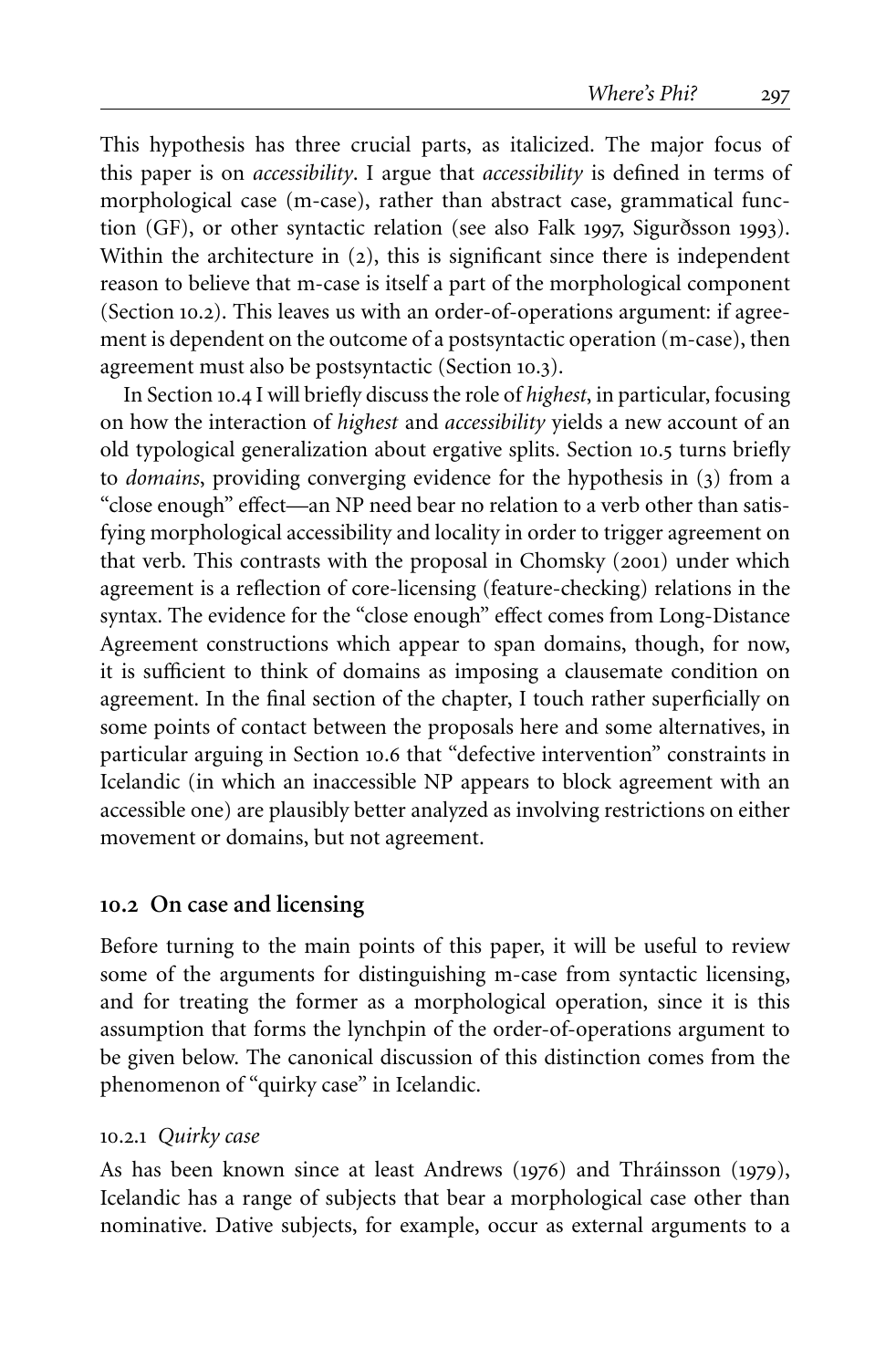This hypothesis has three crucial parts, as italicized. The major focus of this paper is on *accessibility*. I argue that *accessibility* is defined in terms of morphological case (m-case), rather than abstract case, grammatical function (GF), or other syntactic relation (see also Falk 1997, Sigurðsson 1993). Within the architecture in (2), this is significant since there is independent reason to believe that m-case is itself a part of the morphological component (Section 10.2). This leaves us with an order-of-operations argument: if agreement is dependent on the outcome of a postsyntactic operation (m-case), then agreement must also be postsyntactic (Section 10.3).

In Section 10.4 I will briefly discuss the role of *highest*, in particular, focusing on how the interaction of *highest* and *accessibility* yields a new account of an old typological generalization about ergative splits. Section 10.5 turns briefly to *domains*, providing converging evidence for the hypothesis in (3) from a "close enough" effect—an NP need bear no relation to a verb other than satisfying morphological accessibility and locality in order to trigger agreement on that verb. This contrasts with the proposal in Chomsky (2001) under which agreement is a reflection of core-licensing (feature-checking) relations in the syntax. The evidence for the "close enough" effect comes from Long-Distance Agreement constructions which appear to span domains, though, for now, it is sufficient to think of domains as imposing a clausemate condition on agreement. In the final section of the chapter, I touch rather superficially on some points of contact between the proposals here and some alternatives, in particular arguing in Section 10.6 that "defective intervention" constraints in Icelandic (in which an inaccessible NP appears to block agreement with an accessible one) are plausibly better analyzed as involving restrictions on either movement or domains, but not agreement.

## **10.2 On case and licensing**

Before turning to the main points of this paper, it will be useful to review some of the arguments for distinguishing m-case from syntactic licensing, and for treating the former as a morphological operation, since it is this assumption that forms the lynchpin of the order-of-operations argument to be given below. The canonical discussion of this distinction comes from the phenomenon of "quirky case" in Icelandic.

#### 10.2.1 *Quirky case*

As has been known since at least Andrews (1976) and Thráinsson (1979), Icelandic has a range of subjects that bear a morphological case other than nominative. Dative subjects, for example, occur as external arguments to a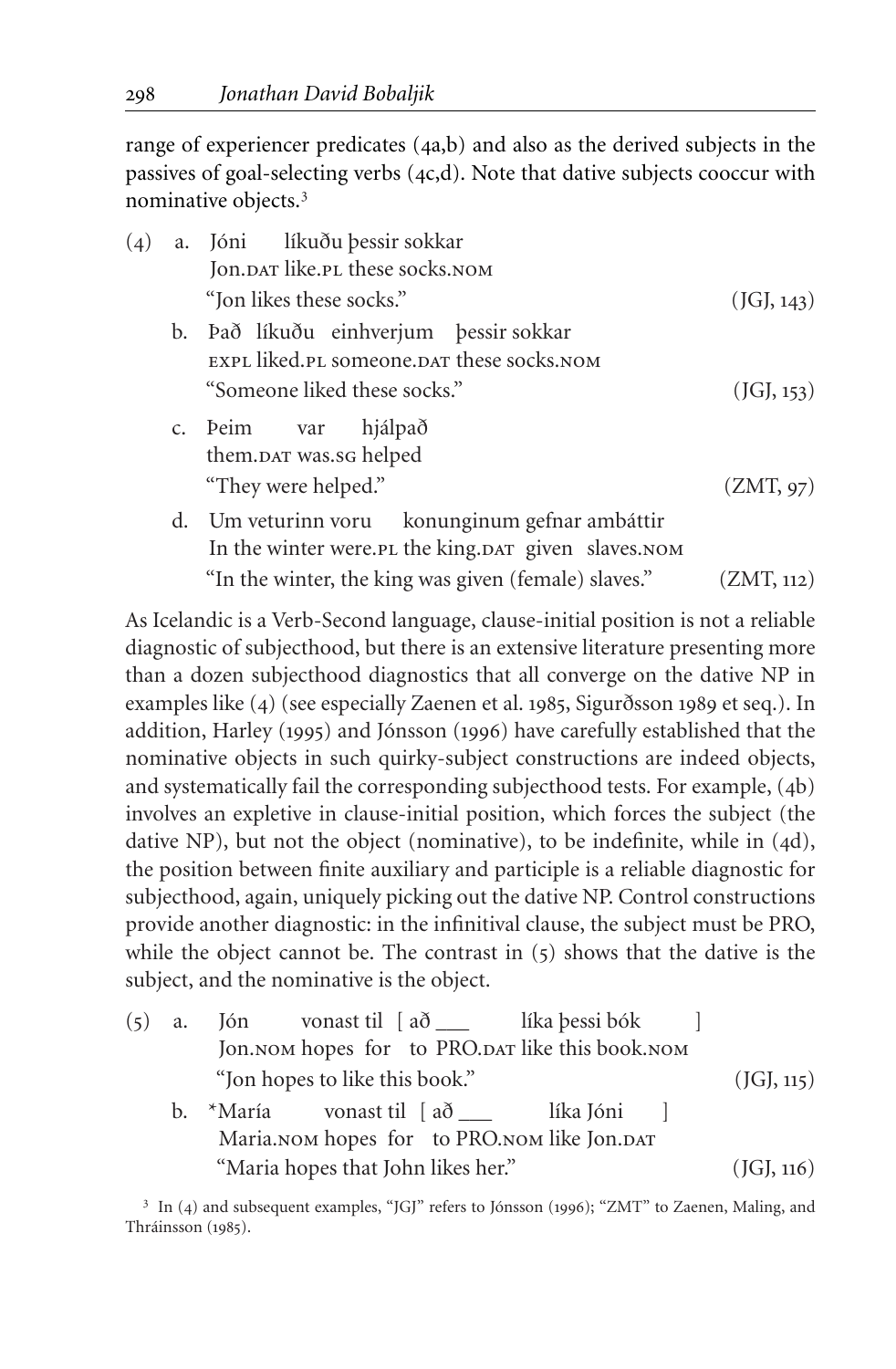range of experiencer predicates (4a,b) and also as the derived subjects in the passives of goal-selecting verbs (4c,d). Note that dative subjects cooccur with nominative objects.<sup>3</sup>

| (4) | a. Jóni líkuðu þessir sokkar                           |            |
|-----|--------------------------------------------------------|------------|
|     | Jon.DAT like.PL these socks.NOM                        |            |
|     | "Jon likes these socks."                               | (JGJ, 143) |
|     | b. Það líkuðu einhverjum þessir sokkar                 |            |
|     | EXPL liked.PL someone.DAT these socks.NOM              |            |
|     | "Someone liked these socks."                           | (JGJ, 153) |
|     | c. Þeim var hjálpað                                    |            |
|     | them. DAT was.sG helped                                |            |
|     | "They were helped."                                    | (ZMT, 97)  |
|     | d. Um veturinn voru konunginum gefnar ambáttir         |            |
|     | In the winter were. PL the king. DAT given slaves. NOM |            |
|     | "In the winter, the king was given (female) slaves."   | (ZMT, 112) |

As Icelandic is a Verb-Second language, clause-initial position is not a reliable diagnostic of subjecthood, but there is an extensive literature presenting more than a dozen subjecthood diagnostics that all converge on the dative NP in examples like (4) (see especially Zaenen et al. 1985, Sigurðsson 1989 et seq.). In addition, Harley (1995) and Jónsson (1996) have carefully established that the nominative objects in such quirky-subject constructions are indeed objects, and systematically fail the corresponding subjecthood tests. For example, (4b) involves an expletive in clause-initial position, which forces the subject (the dative NP), but not the object (nominative), to be indefinite, while in (4d), the position between finite auxiliary and participle is a reliable diagnostic for subjecthood, again, uniquely picking out the dative NP. Control constructions provide another diagnostic: in the infinitival clause, the subject must be PRO, while the object cannot be. The contrast in (5) shows that the dative is the subject, and the nominative is the object.

| $(5)$ a. | Jón vonast til [að _____ líka þessi bók         |            |
|----------|-------------------------------------------------|------------|
|          | JON.NOM hopes for to PRO.DAT like this book.NOM |            |
|          | "Jon hopes to like this book."                  | (JGJ, 115) |
|          | b. *María vonast til að líka Jóni l             |            |
|          | Maria.NOM hopes for to PRO.NOM like JON.DAT     |            |
|          | "Maria hopes that John likes her."              | (JGJ, 116) |

 $3 \text{ In } (4)$  and subsequent examples, "[G]" refers to Jónsson (1996); "ZMT" to Zaenen, Maling, and Thráinsson (1985).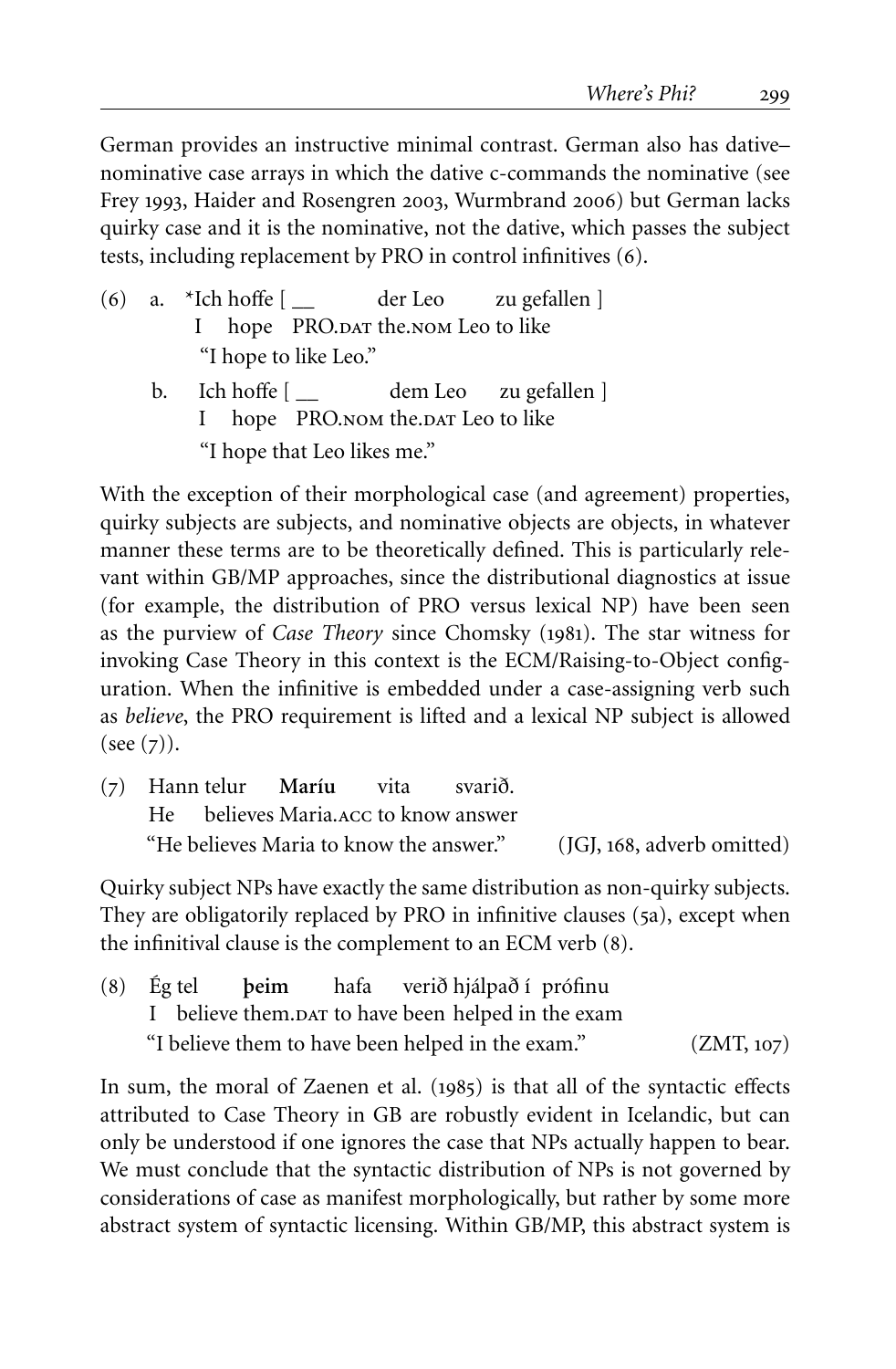German provides an instructive minimal contrast. German also has dative– nominative case arrays in which the dative c-commands the nominative (see Frey 1993, Haider and Rosengren 2003, Wurmbrand 2006) but German lacks quirky case and it is the nominative, not the dative, which passes the subject tests, including replacement by PRO in control infinitives (6).

 $(6)$  a. \*Ich hoffe  $[$  \_\_ I hope PRO.DAT the.NOM Leo to like der Leo zu gefallen ] "I hope to like Leo." b. Ich hoffe [ \_\_ I hope PRO.NOM the.DAT Leo to like dem Leo zu gefallen ]

"I hope that Leo likes me."

With the exception of their morphological case (and agreement) properties, quirky subjects are subjects, and nominative objects are objects, in whatever manner these terms are to be theoretically defined. This is particularly relevant within GB/MP approaches, since the distributional diagnostics at issue (for example, the distribution of PRO versus lexical NP) have been seen as the purview of *Case Theory* since Chomsky (1981). The star witness for invoking Case Theory in this context is the ECM/Raising-to-Object configuration. When the infinitive is embedded under a case-assigning verb such as *believe*, the PRO requirement is lifted and a lexical NP subject is allowed  $(see (7)).$ 

(7) Hann telur  $H_{\rho}$ believes Maria.acc to know answer **Maríu** vita svarið. "He believes Maria to know the answer." (JGJ, 168, adverb omitted)

Quirky subject NPs have exactly the same distribution as non-quirky subjects. They are obligatorily replaced by PRO in infinitive clauses (5a), except when the infinitival clause is the complement to an ECM verb (8).

 $(8)$ I believe them. DAT to have been helped in the exam Ég tel **þeim** hafa verið hjálpað í prófinu "I believe them to have been helped in the exam."  $(ZMT, 107)$ 

In sum, the moral of Zaenen et al. (1985) is that all of the syntactic effects attributed to Case Theory in GB are robustly evident in Icelandic, but can only be understood if one ignores the case that NPs actually happen to bear. We must conclude that the syntactic distribution of NPs is not governed by considerations of case as manifest morphologically, but rather by some more abstract system of syntactic licensing. Within GB/MP, this abstract system is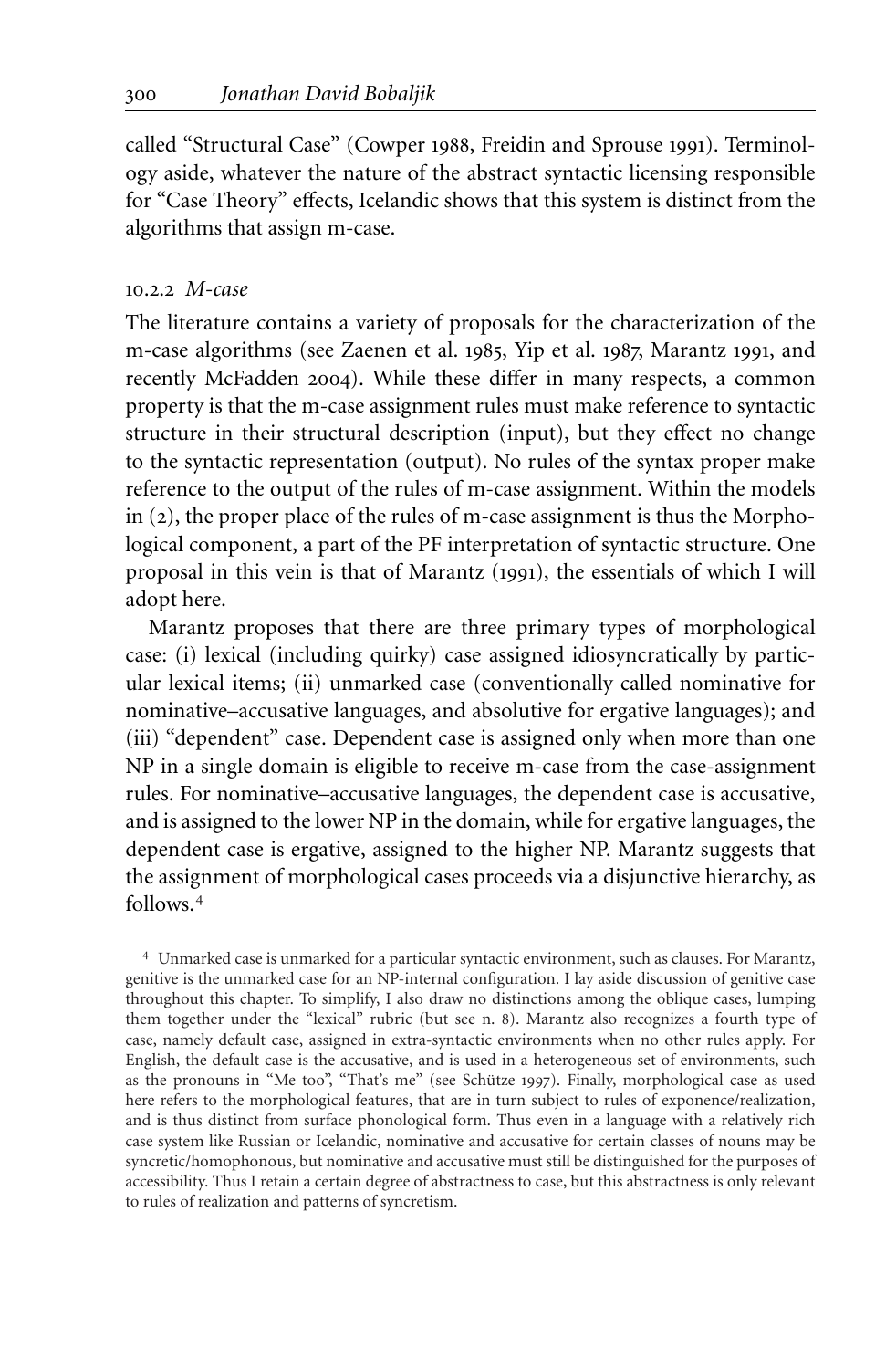called "Structural Case" (Cowper 1988, Freidin and Sprouse 1991). Terminology aside, whatever the nature of the abstract syntactic licensing responsible for "Case Theory" effects, Icelandic shows that this system is distinct from the algorithms that assign m-case.

#### 10.2.2 *M-case*

The literature contains a variety of proposals for the characterization of the m-case algorithms (see Zaenen et al. 1985, Yip et al. 1987, Marantz 1991, and recently McFadden 2004). While these differ in many respects, a common property is that the m-case assignment rules must make reference to syntactic structure in their structural description (input), but they effect no change to the syntactic representation (output). No rules of the syntax proper make reference to the output of the rules of m-case assignment. Within the models in (2), the proper place of the rules of m-case assignment is thus the Morphological component, a part of the PF interpretation of syntactic structure. One proposal in this vein is that of Marantz (1991), the essentials of which I will adopt here.

Marantz proposes that there are three primary types of morphological case: (i) lexical (including quirky) case assigned idiosyncratically by particular lexical items; (ii) unmarked case (conventionally called nominative for nominative–accusative languages, and absolutive for ergative languages); and (iii) "dependent" case. Dependent case is assigned only when more than one NP in a single domain is eligible to receive m-case from the case-assignment rules. For nominative–accusative languages, the dependent case is accusative, and is assigned to the lower NP in the domain, while for ergative languages, the dependent case is ergative, assigned to the higher NP. Marantz suggests that the assignment of morphological cases proceeds via a disjunctive hierarchy, as follows.<sup>4</sup>

<sup>4</sup> Unmarked case is unmarked for a particular syntactic environment, such as clauses. For Marantz, genitive is the unmarked case for an NP-internal configuration. I lay aside discussion of genitive case throughout this chapter. To simplify, I also draw no distinctions among the oblique cases, lumping them together under the "lexical" rubric (but see n. 8). Marantz also recognizes a fourth type of case, namely default case, assigned in extra-syntactic environments when no other rules apply. For English, the default case is the accusative, and is used in a heterogeneous set of environments, such as the pronouns in "Me too", "That's me" (see Schütze 1997). Finally, morphological case as used here refers to the morphological features, that are in turn subject to rules of exponence/realization, and is thus distinct from surface phonological form. Thus even in a language with a relatively rich case system like Russian or Icelandic, nominative and accusative for certain classes of nouns may be syncretic/homophonous, but nominative and accusative must still be distinguished for the purposes of accessibility. Thus I retain a certain degree of abstractness to case, but this abstractness is only relevant to rules of realization and patterns of syncretism.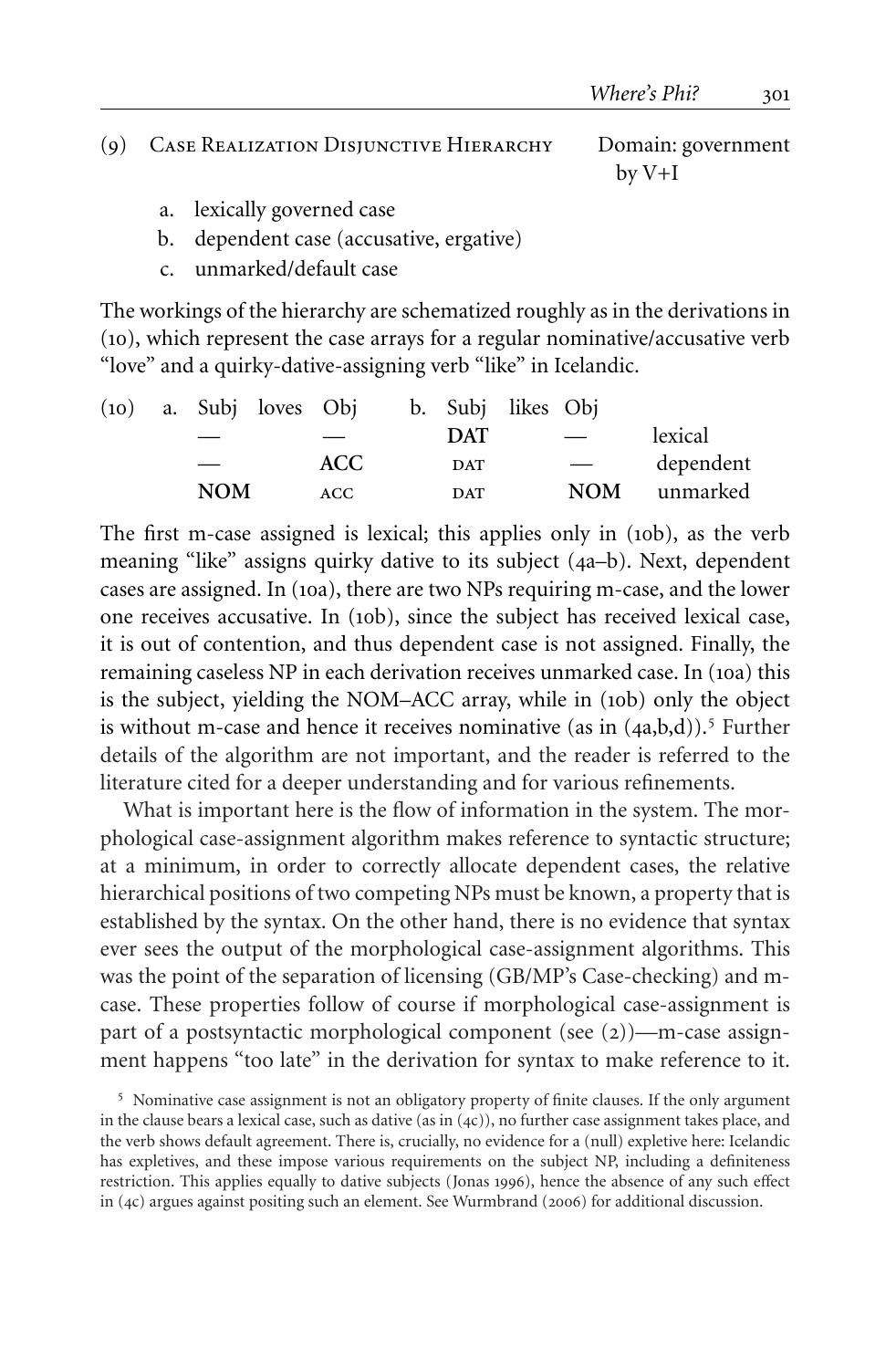# (9) Case Realization Disjunctive Hierarchy Domain: government by V+I

- a. lexically governed case
- b. dependent case (accusative, ergative)
- c. unmarked/default case

The workings of the hierarchy are schematized roughly as in the derivations in (10), which represent the case arrays for a regular nominative/accusative verb "love" and a quirky-dative-assigning verb "like" in Icelandic.

|  |        | (10) a. Subj loves Obj b. Subj likes Obj |            |                          |           |  |
|--|--------|------------------------------------------|------------|--------------------------|-----------|--|
|  |        |                                          | <b>DAT</b> | $\overline{\phantom{a}}$ | lexical   |  |
|  | $\sim$ | ACC.                                     | <b>DAT</b> | $\overline{\phantom{a}}$ | dependent |  |
|  | NOM    | ACC.                                     | <b>DAT</b> | NOM –                    | unmarked  |  |

The first m-case assigned is lexical; this applies only in (10b), as the verb meaning "like" assigns quirky dative to its subject (4a–b). Next, dependent cases are assigned. In (10a), there are two NPs requiring m-case, and the lower one receives accusative. In (10b), since the subject has received lexical case, it is out of contention, and thus dependent case is not assigned. Finally, the remaining caseless NP in each derivation receives unmarked case. In (10a) this is the subject, yielding the NOM–ACC array, while in (10b) only the object is without m-case and hence it receives nominative (as in  $(4a,b,d)$ ).<sup>5</sup> Further details of the algorithm are not important, and the reader is referred to the literature cited for a deeper understanding and for various refinements.

What is important here is the flow of information in the system. The morphological case-assignment algorithm makes reference to syntactic structure; at a minimum, in order to correctly allocate dependent cases, the relative hierarchical positions of two competing NPs must be known, a property that is established by the syntax. On the other hand, there is no evidence that syntax ever sees the output of the morphological case-assignment algorithms. This was the point of the separation of licensing (GB/MP's Case-checking) and mcase. These properties follow of course if morphological case-assignment is part of a postsyntactic morphological component (see (2))-m-case assignment happens "too late" in the derivation for syntax to make reference to it.

<sup>&</sup>lt;sup>5</sup> Nominative case assignment is not an obligatory property of finite clauses. If the only argument in the clause bears a lexical case, such as dative (as in (4c)), no further case assignment takes place, and the verb shows default agreement. There is, crucially, no evidence for a (null) expletive here: Icelandic has expletives, and these impose various requirements on the subject NP, including a definiteness restriction. This applies equally to dative subjects (Jonas 1996), hence the absence of any such effect in (4c) argues against positing such an element. See Wurmbrand (2006) for additional discussion.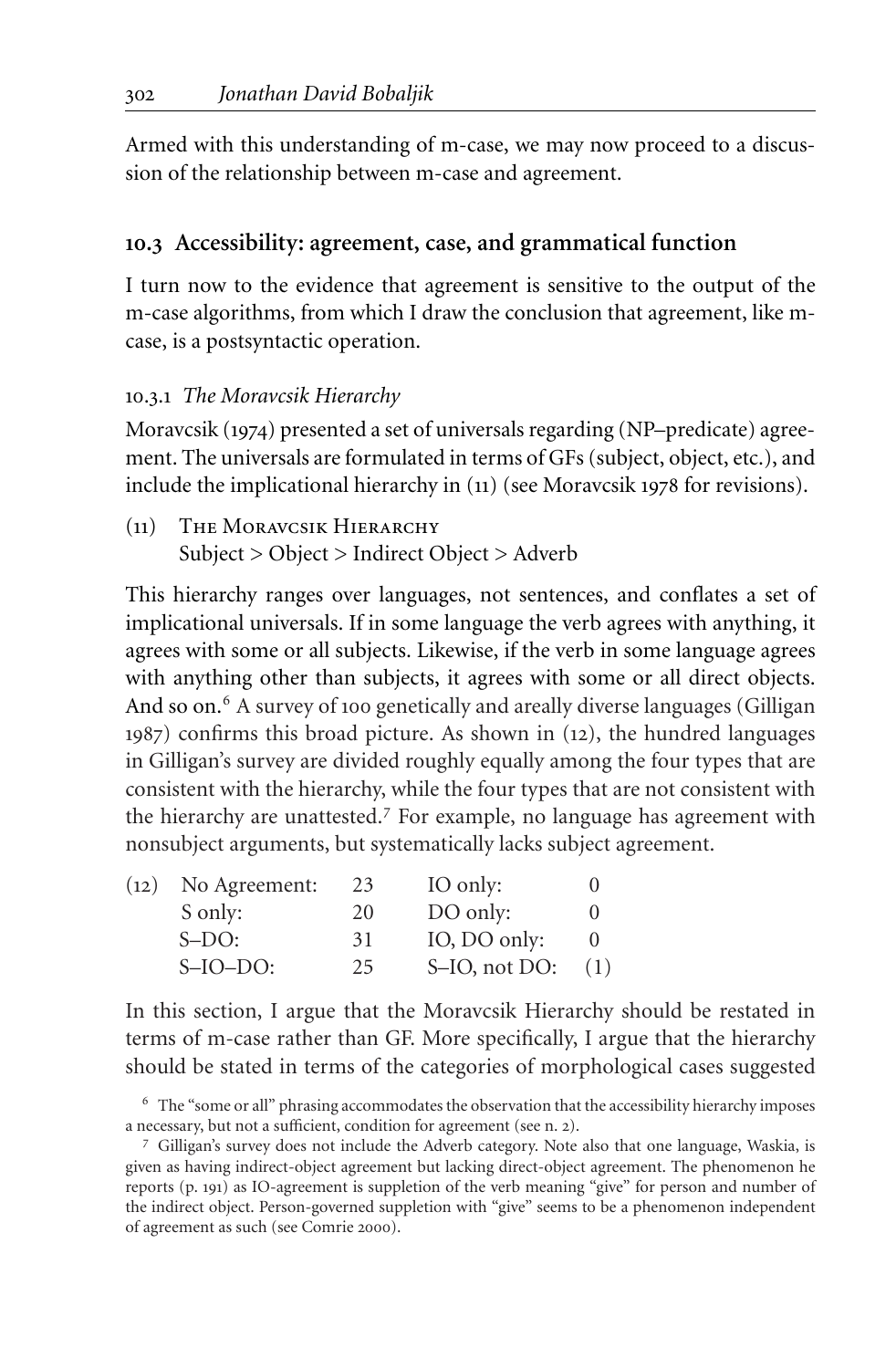Armed with this understanding of m-case, we may now proceed to a discussion of the relationship between m-case and agreement.

# **10.3 Accessibility: agreement, case, and grammatical function**

I turn now to the evidence that agreement is sensitive to the output of the m-case algorithms, from which I draw the conclusion that agreement, like mcase, is a postsyntactic operation.

10.3.1 *The Moravcsik Hierarchy*

Moravcsik (1974) presented a set of universals regarding (NP–predicate) agreement. The universals are formulated in terms of GFs (subject, object, etc.), and include the implicational hierarchy in (11) (see Moravcsik 1978 for revisions).

(11) The Moravcsik Hierarchy Subject > Object > Indirect Object > Adverb

This hierarchy ranges over languages, not sentences, and conflates a set of implicational universals. If in some language the verb agrees with anything, it agrees with some or all subjects. Likewise, if the verb in some language agrees with anything other than subjects, it agrees with some or all direct objects. And so on.<sup>6</sup> A survey of 100 genetically and areally diverse languages (Gilligan 1987) confirms this broad picture. As shown in (12), the hundred languages in Gilligan's survey are divided roughly equally among the four types that are consistent with the hierarchy, while the four types that are not consistent with the hierarchy are unattested.<sup>7</sup> For example, no language has agreement with nonsubject arguments, but systematically lacks subject agreement.

| (12) | No Agreement: | 23 | IO only:      |          |
|------|---------------|----|---------------|----------|
|      | S only:       | 20 | DO only:      | $\theta$ |
|      | $S-DO:$       | 31 | IO, DO only:  | $\theta$ |
|      | $S$ -IO-DO:   | 25 | S-IO, not DO: | (1)      |

In this section, I argue that the Moravcsik Hierarchy should be restated in terms of m-case rather than GF. More specifically, I argue that the hierarchy should be stated in terms of the categories of morphological cases suggested

<sup>6</sup> The "some or all" phrasing accommodates the observation that the accessibility hierarchy imposes a necessary, but not a sufficient, condition for agreement (see n. 2).

<sup>7</sup> Gilligan's survey does not include the Adverb category. Note also that one language, Waskia, is given as having indirect-object agreement but lacking direct-object agreement. The phenomenon he reports (p. 191) as IO-agreement is suppletion of the verb meaning "give" for person and number of the indirect object. Person-governed suppletion with "give" seems to be a phenomenon independent of agreement as such (see Comrie 2000).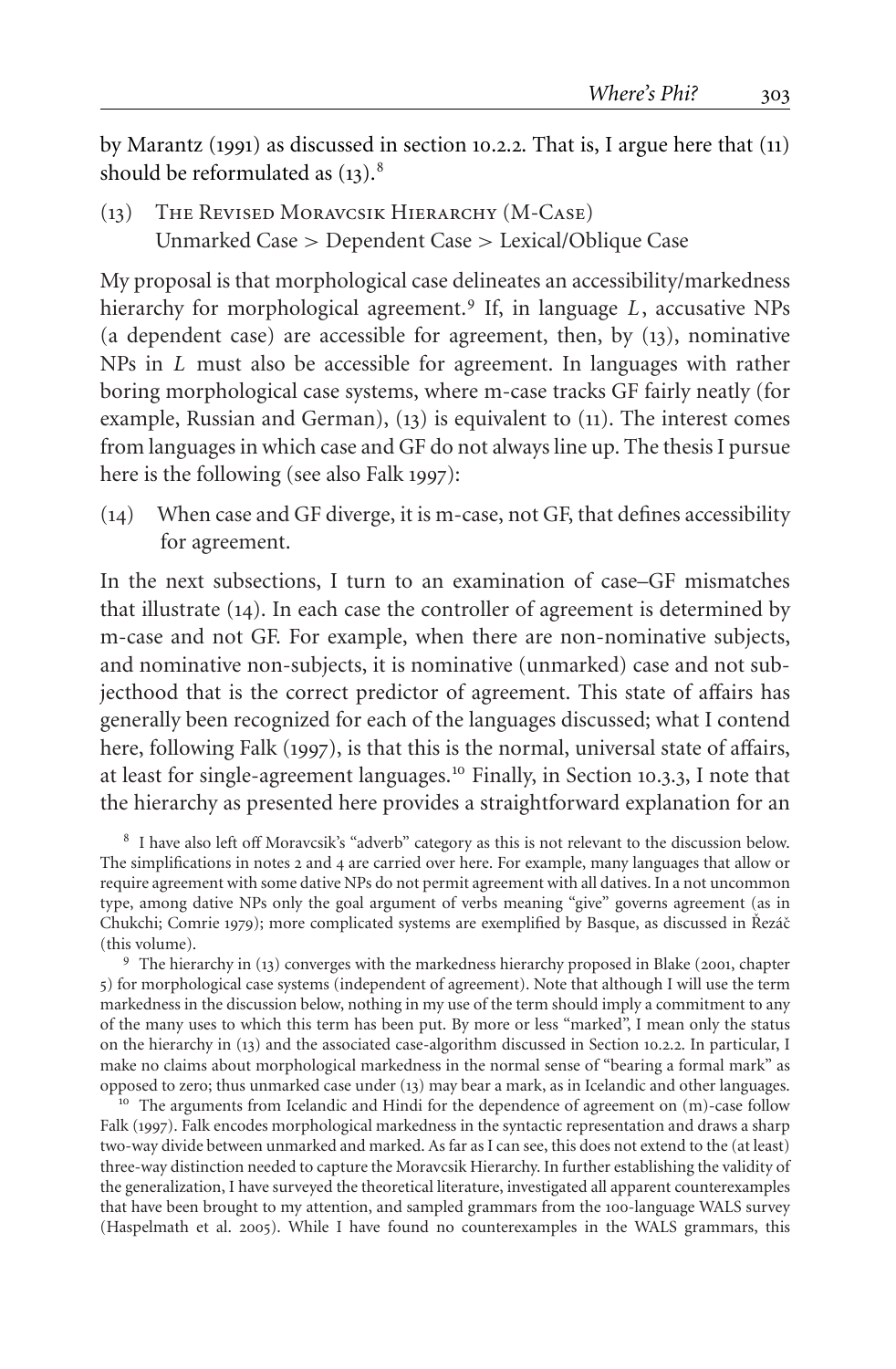by Marantz (1991) as discussed in section 10.2.2. That is, I argue here that (11) should be reformulated as  $(13)$ .<sup>8</sup>

(13) The Revised Moravcsik Hierarchy (M-Case) Unmarked Case > Dependent Case > Lexical/Oblique Case

My proposal is that morphological case delineates an accessibility/markedness hierarchy for morphological agreement.<sup>9</sup> If, in language *L*, accusative NPs (a dependent case) are accessible for agreement, then, by (13), nominative NPs in *L* must also be accessible for agreement. In languages with rather boring morphological case systems, where m-case tracks GF fairly neatly (for example, Russian and German), (13) is equivalent to (11). The interest comes from languages in which case and GF do not always line up. The thesis I pursue here is the following (see also Falk 1997):

(14) When case and GF diverge, it is m-case, not GF, that defines accessibility for agreement.

In the next subsections, I turn to an examination of case–GF mismatches that illustrate (14). In each case the controller of agreement is determined by m-case and not GF. For example, when there are non-nominative subjects, and nominative non-subjects, it is nominative (unmarked) case and not subjecthood that is the correct predictor of agreement. This state of affairs has generally been recognized for each of the languages discussed; what I contend here, following Falk (1997), is that this is the normal, universal state of affairs, at least for single-agreement languages.<sup>10</sup> Finally, in Section 10.3.3, I note that the hierarchy as presented here provides a straightforward explanation for an

<sup>8</sup> I have also left off Moravcsik's "adverb" category as this is not relevant to the discussion below. The simplifications in notes 2 and 4 are carried over here. For example, many languages that allow or require agreement with some dative NPs do not permit agreement with all datives. In a not uncommon type, among dative NPs only the goal argument of verbs meaning "give" governs agreement (as in Chukchi; Comrie 1979); more complicated systems are exemplified by Basque, as discussed in Řezáč (this volume).

<sup>9</sup> The hierarchy in (13) converges with the markedness hierarchy proposed in Blake (2001, chapter 5) for morphological case systems (independent of agreement). Note that although I will use the term markedness in the discussion below, nothing in my use of the term should imply a commitment to any of the many uses to which this term has been put. By more or less "marked", I mean only the status on the hierarchy in (13) and the associated case-algorithm discussed in Section 10.2.2. In particular, I make no claims about morphological markedness in the normal sense of "bearing a formal mark" as opposed to zero; thus unmarked case under (13) may bear a mark, as in Icelandic and other languages.

<sup>10</sup> The arguments from Icelandic and Hindi for the dependence of agreement on (m)-case follow Falk (1997). Falk encodes morphological markedness in the syntactic representation and draws a sharp two-way divide between unmarked and marked. As far as I can see, this does not extend to the (at least) three-way distinction needed to capture the Moravcsik Hierarchy. In further establishing the validity of the generalization, I have surveyed the theoretical literature, investigated all apparent counterexamples that have been brought to my attention, and sampled grammars from the 100-language WALS survey (Haspelmath et al. 2005). While I have found no counterexamples in the WALS grammars, this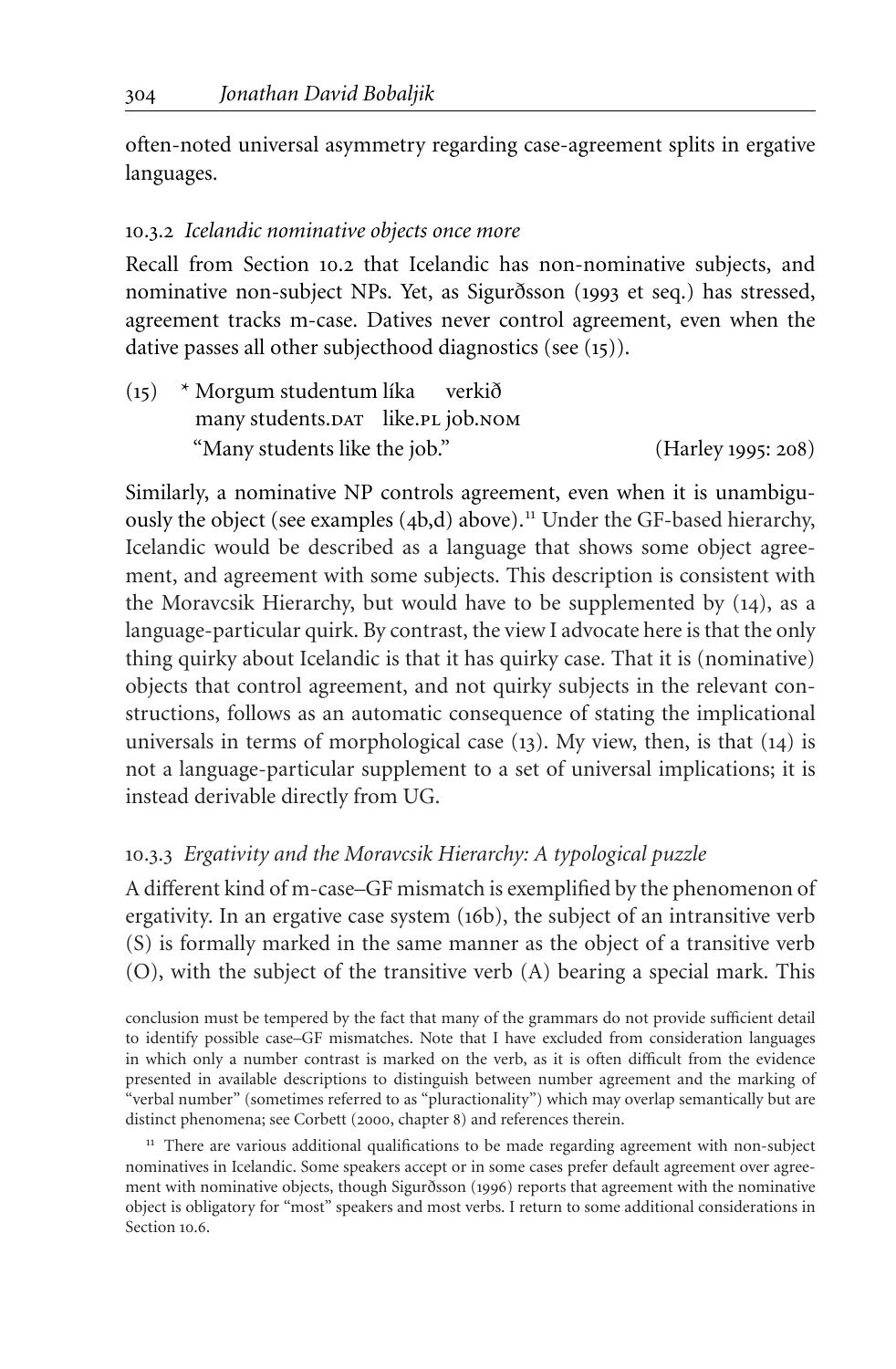often-noted universal asymmetry regarding case-agreement splits in ergative languages.

#### 10.3.2 *Icelandic nominative objects once more*

Recall from Section 10.2 that Icelandic has non-nominative subjects, and nominative non-subject NPs. Yet, as Sigurðsson (1993 et seq.) has stressed, agreement tracks m-case. Datives never control agreement, even when the dative passes all other subjecthood diagnostics (see (15)).

(15) \* Morgum studentum líka many students. DAT like. PL job. NOM verkið "Many students like the job." (Harley 1995: 208)

Similarly, a nominative NP controls agreement, even when it is unambiguously the object (see examples  $(4b,d)$  above).<sup>11</sup> Under the GF-based hierarchy, Icelandic would be described as a language that shows some object agreement, and agreement with some subjects. This description is consistent with the Moravcsik Hierarchy, but would have to be supplemented by (14), as a language-particular quirk. By contrast, the view I advocate here is that the only thing quirky about Icelandic is that it has quirky case. That it is (nominative) objects that control agreement, and not quirky subjects in the relevant constructions, follows as an automatic consequence of stating the implicational universals in terms of morphological case (13). My view, then, is that (14) is not a language-particular supplement to a set of universal implications; it is instead derivable directly from UG.

#### 10.3.3 *Ergativity and the Moravcsik Hierarchy: A typological puzzle*

A different kind of m-case–GF mismatch is exemplified by the phenomenon of ergativity. In an ergative case system (16b), the subject of an intransitive verb (S) is formally marked in the same manner as the object of a transitive verb (O), with the subject of the transitive verb (A) bearing a special mark. This

<sup>11</sup> There are various additional qualifications to be made regarding agreement with non-subject nominatives in Icelandic. Some speakers accept or in some cases prefer default agreement over agreement with nominative objects, though Sigurðsson (1996) reports that agreement with the nominative object is obligatory for "most" speakers and most verbs. I return to some additional considerations in Section 10.6.

conclusion must be tempered by the fact that many of the grammars do not provide sufficient detail to identify possible case–GF mismatches. Note that I have excluded from consideration languages in which only a number contrast is marked on the verb, as it is often difficult from the evidence presented in available descriptions to distinguish between number agreement and the marking of "verbal number" (sometimes referred to as "pluractionality") which may overlap semantically but are distinct phenomena; see Corbett (2000, chapter 8) and references therein.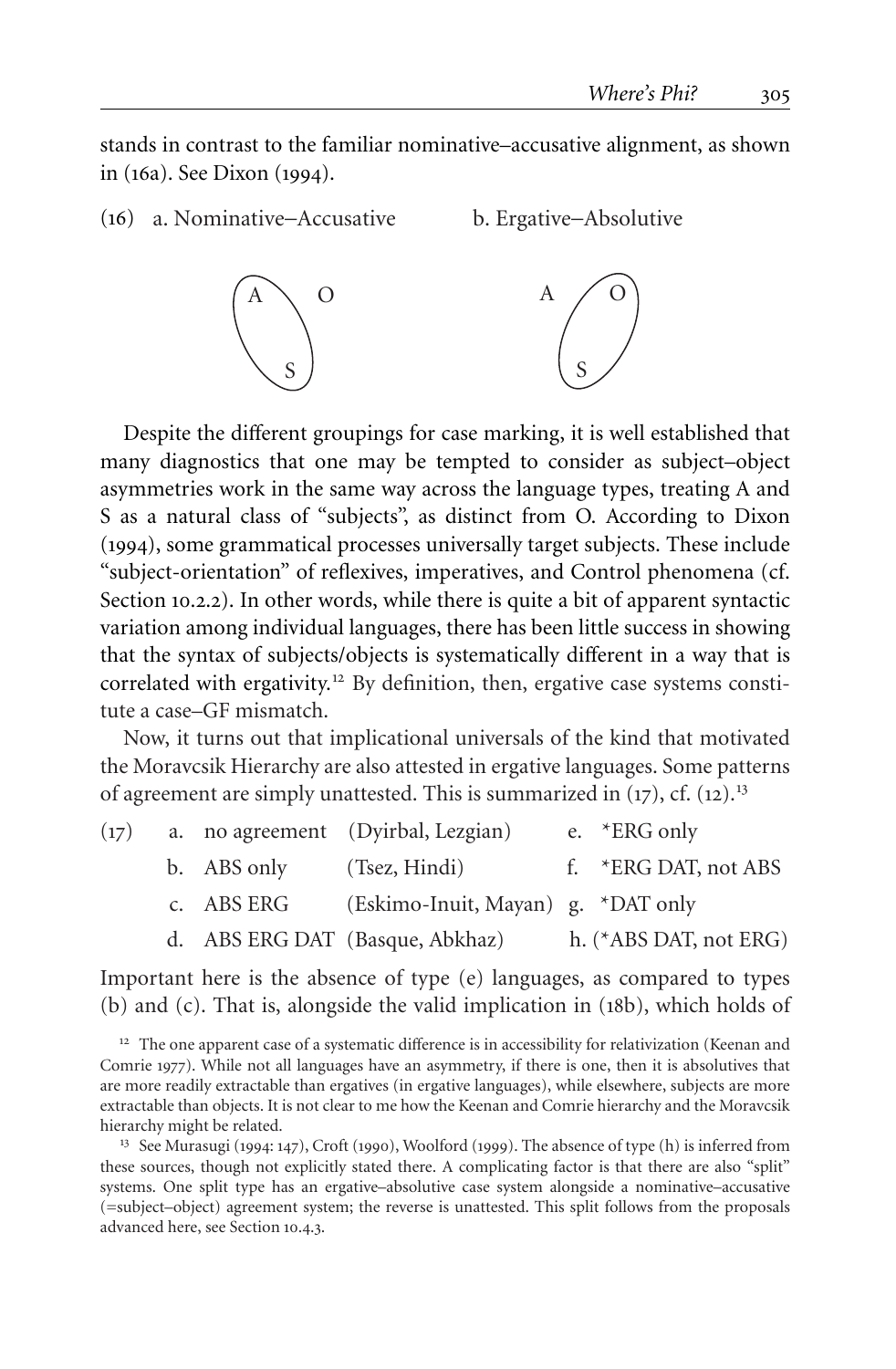stands in contrast to the familiar nominative–accusative alignment, as shown in (16a). See Dixon (1994).

(16) a. Nominative−Accusative b. Ergative−Absolutive



Despite the different groupings for case marking, it is well established that many diagnostics that one may be tempted to consider as subject–object asymmetries work in the same way across the language types, treating A and S as a natural class of "subjects", as distinct from O. According to Dixon (1994), some grammatical processes universally target subjects. These include "subject-orientation" of reflexives, imperatives, and Control phenomena (cf. Section 10.2.2). In other words, while there is quite a bit of apparent syntactic variation among individual languages, there has been little success in showing that the syntax of subjects/objects is systematically different in a way that is correlated with ergativity.<sup>12</sup> By definition, then, ergative case systems constitute a case–GF mismatch.

Now, it turns out that implicational universals of the kind that motivated the Moravcsik Hierarchy are also attested in ergative languages. Some patterns of agreement are simply unattested. This is summarized in  $(17)$ , cf.  $(12)$ .<sup>13</sup>

| (17) |             | a. no agreement (Dyirbal, Lezgian) | e. *ERG only           |
|------|-------------|------------------------------------|------------------------|
|      | b. ABS only | (Tsez, Hindi)                      | f. *ERG DAT, not ABS   |
|      | c. ABS ERG  | (Eskimo-Inuit, Mayan) g. *DAT only |                        |
|      |             | d. ABS ERG DAT (Basque, Abkhaz)    | h. (*ABS DAT, not ERG) |

Important here is the absence of type (e) languages, as compared to types (b) and (c). That is, alongside the valid implication in (18b), which holds of

<sup>13</sup> See Murasugi (1994: 147), Croft (1990), Woolford (1999). The absence of type (h) is inferred from these sources, though not explicitly stated there. A complicating factor is that there are also "split" systems. One split type has an ergative–absolutive case system alongside a nominative–accusative (=subject–object) agreement system; the reverse is unattested. This split follows from the proposals advanced here, see Section 10.4.3.

<sup>&</sup>lt;sup>12</sup> The one apparent case of a systematic difference is in accessibility for relativization (Keenan and Comrie 1977). While not all languages have an asymmetry, if there is one, then it is absolutives that are more readily extractable than ergatives (in ergative languages), while elsewhere, subjects are more extractable than objects. It is not clear to me how the Keenan and Comrie hierarchy and the Moravcsik hierarchy might be related.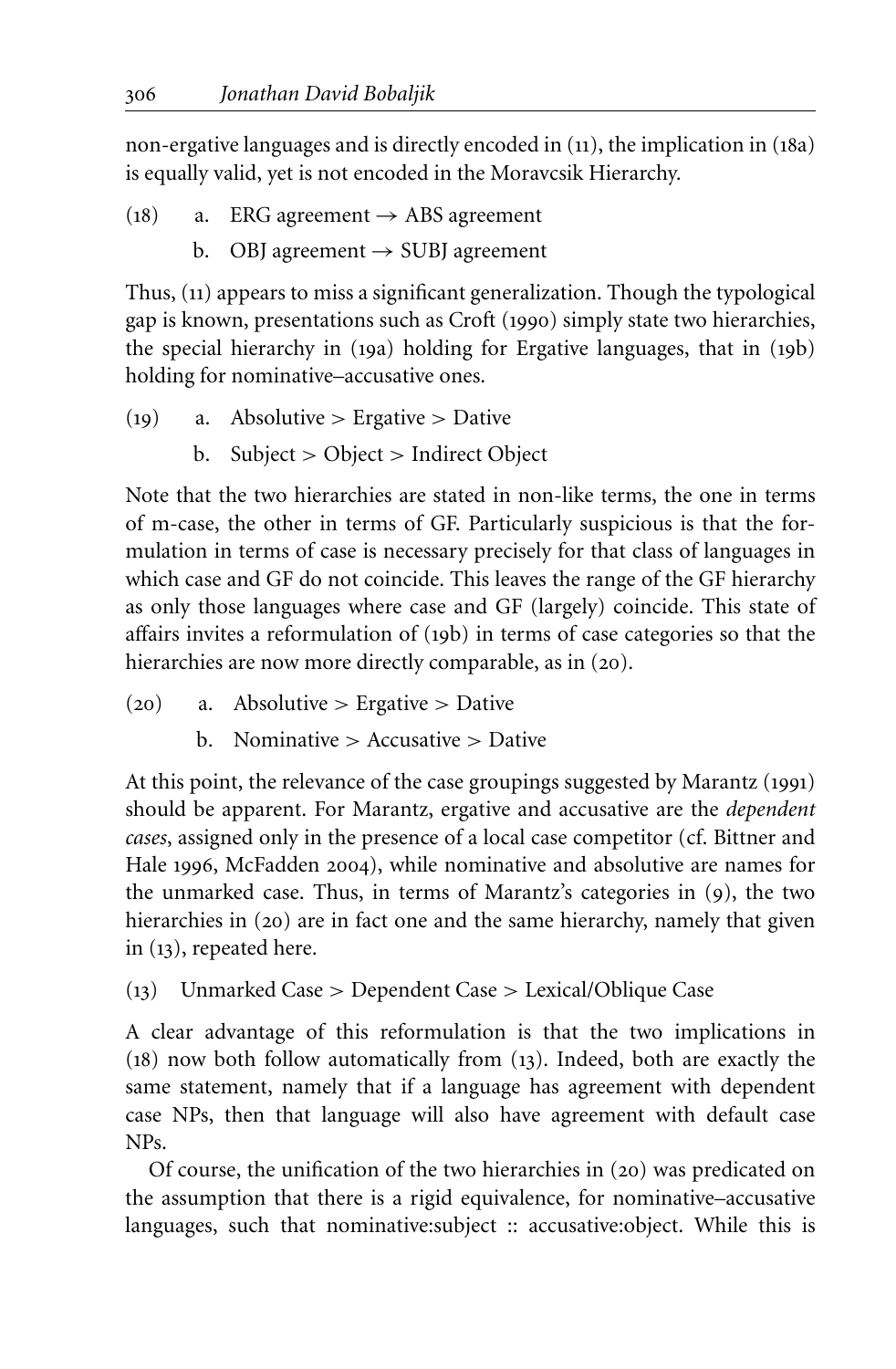non-ergative languages and is directly encoded in (11), the implication in (18a) is equally valid, yet is not encoded in the Moravcsik Hierarchy.

- (18) a. ERG agreement  $\rightarrow$  ABS agreement
	- b. OBJ agreement  $\rightarrow$  SUBJ agreement

Thus, (11) appears to miss a significant generalization. Though the typological gap is known, presentations such as Croft (1990) simply state two hierarchies, the special hierarchy in (19a) holding for Ergative languages, that in (19b) holding for nominative–accusative ones.

- (19) a. Absolutive > Ergative > Dative
	- b. Subject > Object > Indirect Object

Note that the two hierarchies are stated in non-like terms, the one in terms of m-case, the other in terms of GF. Particularly suspicious is that the formulation in terms of case is necessary precisely for that class of languages in which case and GF do not coincide. This leaves the range of the GF hierarchy as only those languages where case and GF (largely) coincide. This state of affairs invites a reformulation of (19b) in terms of case categories so that the hierarchies are now more directly comparable, as in  $(20)$ .

- (20) a. Absolutive > Ergative > Dative
	- b. Nominative  $>$  Accusative  $>$  Dative

At this point, the relevance of the case groupings suggested by Marantz (1991) should be apparent. For Marantz, ergative and accusative are the *dependent cases*, assigned only in the presence of a local case competitor (cf. Bittner and Hale 1996, McFadden 2004), while nominative and absolutive are names for the unmarked case. Thus, in terms of Marantz's categories in (9), the two hierarchies in (20) are in fact one and the same hierarchy, namely that given in (13), repeated here.

```
(13) Unmarked Case > Dependent Case > Lexical/Oblique Case
```
A clear advantage of this reformulation is that the two implications in (18) now both follow automatically from (13). Indeed, both are exactly the same statement, namely that if a language has agreement with dependent case NPs, then that language will also have agreement with default case NPs.

Of course, the unification of the two hierarchies in (20) was predicated on the assumption that there is a rigid equivalence, for nominative–accusative languages, such that nominative:subject :: accusative:object. While this is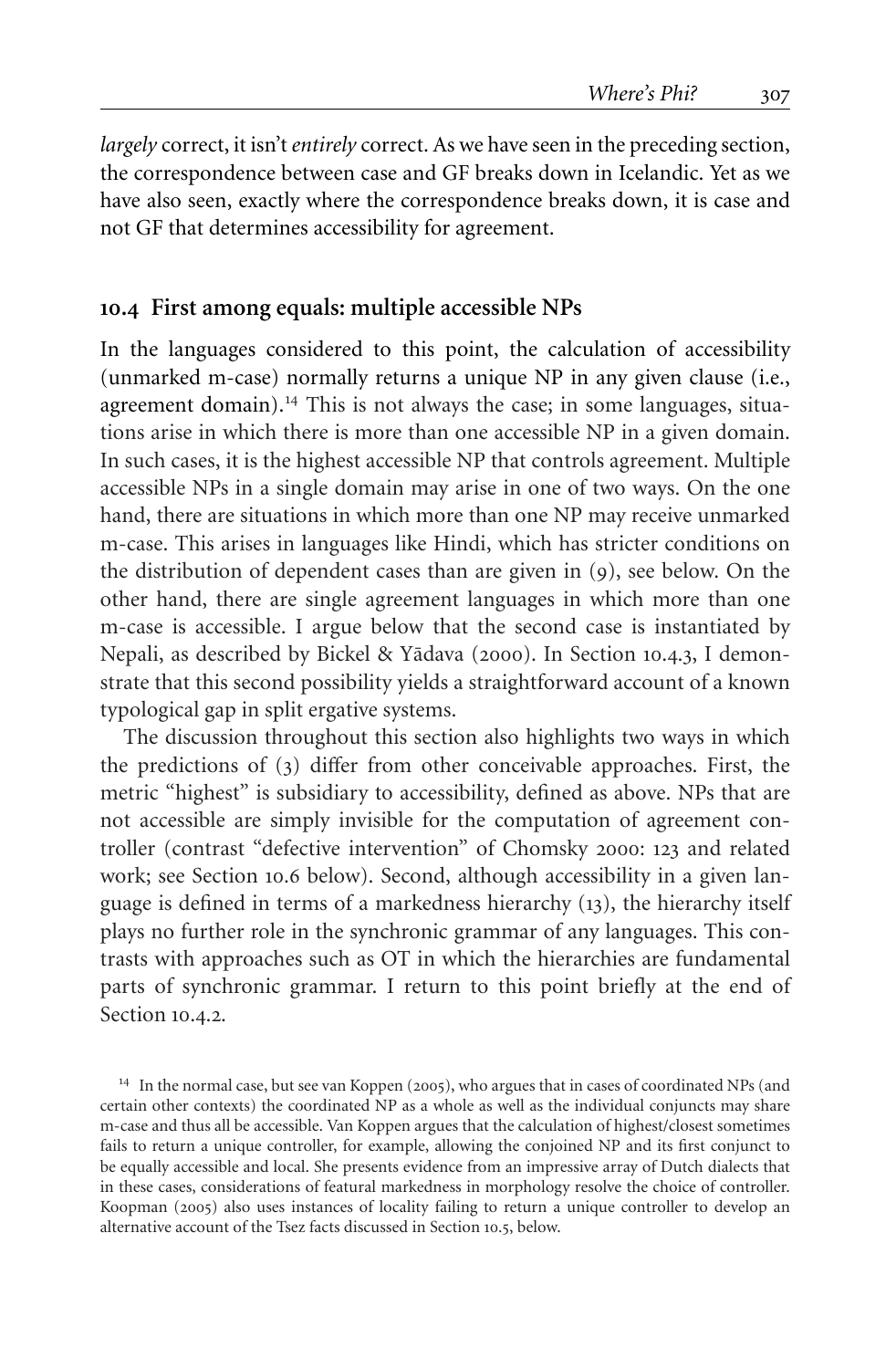*largely* correct, it isn't*entirely* correct. As we have seen in the preceding section, the correspondence between case and GF breaks down in Icelandic. Yet as we have also seen, exactly where the correspondence breaks down, it is case and not GF that determines accessibility for agreement.

# **10.4 First among equals: multiple accessible NPs**

In the languages considered to this point, the calculation of accessibility (unmarked m-case) normally returns a unique NP in any given clause (i.e., agreement domain).<sup>14</sup> This is not always the case; in some languages, situations arise in which there is more than one accessible NP in a given domain. In such cases, it is the highest accessible NP that controls agreement. Multiple accessible NPs in a single domain may arise in one of two ways. On the one hand, there are situations in which more than one NP may receive unmarked m-case. This arises in languages like Hindi, which has stricter conditions on the distribution of dependent cases than are given in (9), see below. On the other hand, there are single agreement languages in which more than one m-case is accessible. I argue below that the second case is instantiated by Nepali, as described by Bickel & Yādava (2000). In Section 10.4.3, I demonstrate that this second possibility yields a straightforward account of a known typological gap in split ergative systems.

The discussion throughout this section also highlights two ways in which the predictions of (3) differ from other conceivable approaches. First, the metric "highest" is subsidiary to accessibility, defined as above. NPs that are not accessible are simply invisible for the computation of agreement controller (contrast "defective intervention" of Chomsky 2000: 123 and related work; see Section 10.6 below). Second, although accessibility in a given language is defined in terms of a markedness hierarchy (13), the hierarchy itself plays no further role in the synchronic grammar of any languages. This contrasts with approaches such as OT in which the hierarchies are fundamental parts of synchronic grammar. I return to this point briefly at the end of Section 10.4.2.

<sup>14</sup> In the normal case, but see van Koppen (2005), who argues that in cases of coordinated NPs (and certain other contexts) the coordinated NP as a whole as well as the individual conjuncts may share m-case and thus all be accessible. Van Koppen argues that the calculation of highest/closest sometimes fails to return a unique controller, for example, allowing the conjoined NP and its first conjunct to be equally accessible and local. She presents evidence from an impressive array of Dutch dialects that in these cases, considerations of featural markedness in morphology resolve the choice of controller. Koopman (2005) also uses instances of locality failing to return a unique controller to develop an alternative account of the Tsez facts discussed in Section 10.5, below.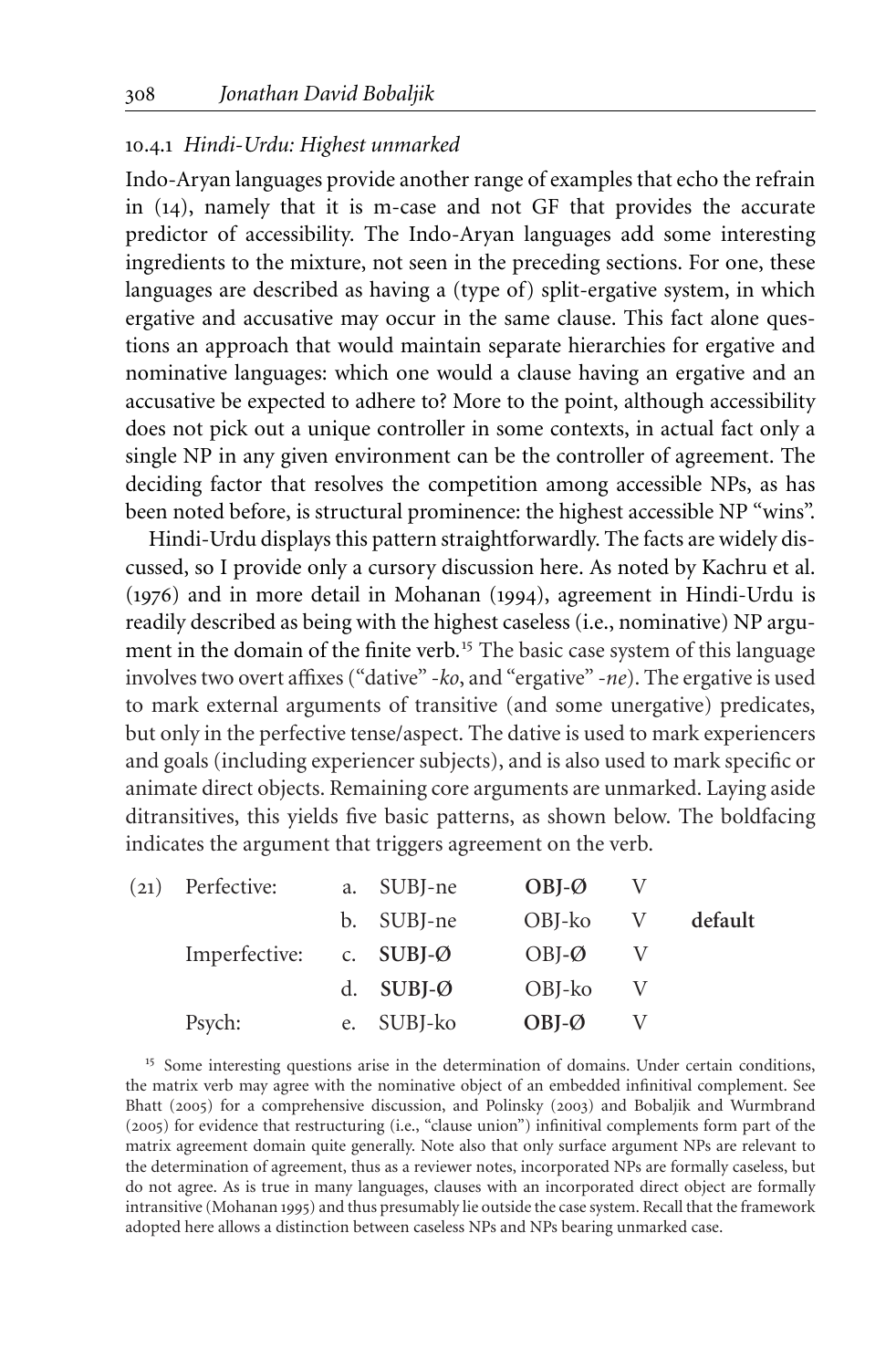#### 10.4.1 *Hindi-Urdu: Highest unmarked*

Indo-Aryan languages provide another range of examples that echo the refrain in (14), namely that it is m-case and not GF that provides the accurate predictor of accessibility. The Indo-Aryan languages add some interesting ingredients to the mixture, not seen in the preceding sections. For one, these languages are described as having a (type of) split-ergative system, in which ergative and accusative may occur in the same clause. This fact alone questions an approach that would maintain separate hierarchies for ergative and nominative languages: which one would a clause having an ergative and an accusative be expected to adhere to? More to the point, although accessibility does not pick out a unique controller in some contexts, in actual fact only a single NP in any given environment can be the controller of agreement. The deciding factor that resolves the competition among accessible NPs, as has been noted before, is structural prominence: the highest accessible NP "wins".

Hindi-Urdu displays this pattern straightforwardly. The facts are widely discussed, so I provide only a cursory discussion here. As noted by Kachru et al. (1976) and in more detail in Mohanan (1994), agreement in Hindi-Urdu is readily described as being with the highest caseless (i.e., nominative) NP argument in the domain of the finite verb.<sup>15</sup> The basic case system of this language involves two overt affixes ("dative" -*ko*, and "ergative" -*ne*). The ergative is used to mark external arguments of transitive (and some unergative) predicates, but only in the perfective tense/aspect. The dative is used to mark experiencers and goals (including experiencer subjects), and is also used to mark specific or animate direct objects. Remaining core arguments are unmarked. Laying aside ditransitives, this yields five basic patterns, as shown below. The boldfacing indicates the argument that triggers agreement on the verb.

| (21) | Perfective:   | a. SUBJ-ne  | $OBI-Ø$         |         |
|------|---------------|-------------|-----------------|---------|
|      |               | b. SUBJ-ne  | OBJ-ko          | default |
|      | Imperfective: | c. $SUBI-Ø$ | $OBI-\emptyset$ |         |
|      |               | d. $SUBJ-Ø$ | OBJ-ko          |         |
|      | Psych:        | e. SUBJ-ko  | $OBI-Ø$         |         |

<sup>15</sup> Some interesting questions arise in the determination of domains. Under certain conditions, the matrix verb may agree with the nominative object of an embedded infinitival complement. See Bhatt (2005) for a comprehensive discussion, and Polinsky (2003) and Bobaljik and Wurmbrand (2005) for evidence that restructuring (i.e., "clause union") infinitival complements form part of the matrix agreement domain quite generally. Note also that only surface argument NPs are relevant to the determination of agreement, thus as a reviewer notes, incorporated NPs are formally caseless, but do not agree. As is true in many languages, clauses with an incorporated direct object are formally intransitive (Mohanan 1995) and thus presumably lie outside the case system. Recall that the framework adopted here allows a distinction between caseless NPs and NPs bearing unmarked case.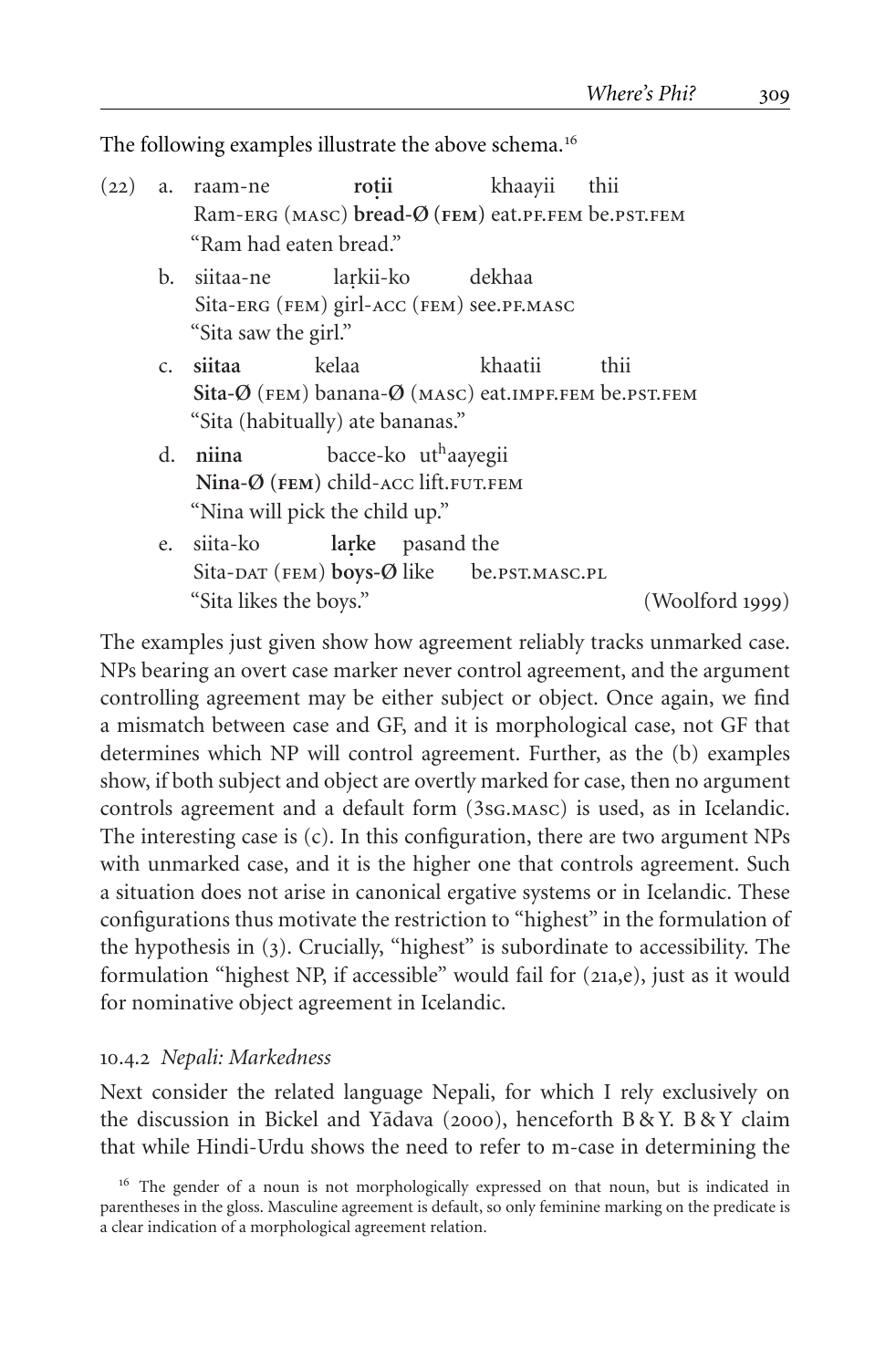The following examples illustrate the above schema.<sup>16</sup>

- $(22)$  a. raam-ne Ram-erg (masc) **bread-Ø (fem)** eat.pf.fem be.pst.fem **rot.ii** khaayii thii "Ram had eaten bread."
	- b. siitaa-ne Sita-erg (fem) girl-acc (fem) see.pf.masc larkii-ko dekhaa "Sita saw the girl."
	- c. **siitaa**  $\mathsf{Sita}\text{-}\mathcal{O}$  (fem) banana- $\mathcal{O}$  (маsc) eat.iмpf.fem be.psт.fem kelaa khaatii thii "Sita (habitually) ate bananas."
	- d. **niina Nina-Ø (fem)** child-acc lift.fut.fem bacce-ko ut<sup>h</sup>aayegii "Nina will pick the child up."
	- e. siita-ko Sita-dat (fem) boys-Ø like **lar.ke** pasand the be.pst.masc.pl "Sita likes the boys." (Woolford 1999)

The examples just given show how agreement reliably tracks unmarked case. NPs bearing an overt case marker never control agreement, and the argument controlling agreement may be either subject or object. Once again, we find a mismatch between case and GF, and it is morphological case, not GF that determines which NP will control agreement. Further, as the (b) examples show, if both subject and object are overtly marked for case, then no argument controls agreement and a default form (3sg.masc) is used, as in Icelandic. The interesting case is (c). In this configuration, there are two argument NPs with unmarked case, and it is the higher one that controls agreement. Such a situation does not arise in canonical ergative systems or in Icelandic. These configurations thus motivate the restriction to "highest" in the formulation of the hypothesis in (3). Crucially, "highest" is subordinate to accessibility. The formulation "highest NP, if accessible" would fail for (21a,e), just as it would for nominative object agreement in Icelandic.

#### 10.4.2 *Nepali: Markedness*

Next consider the related language Nepali, for which I rely exclusively on the discussion in Bickel and Yādava (2000), henceforth  $B & XY$ .  $B & Y$  claim that while Hindi-Urdu shows the need to refer to m-case in determining the

<sup>&</sup>lt;sup>16</sup> The gender of a noun is not morphologically expressed on that noun, but is indicated in parentheses in the gloss. Masculine agreement is default, so only feminine marking on the predicate is a clear indication of a morphological agreement relation.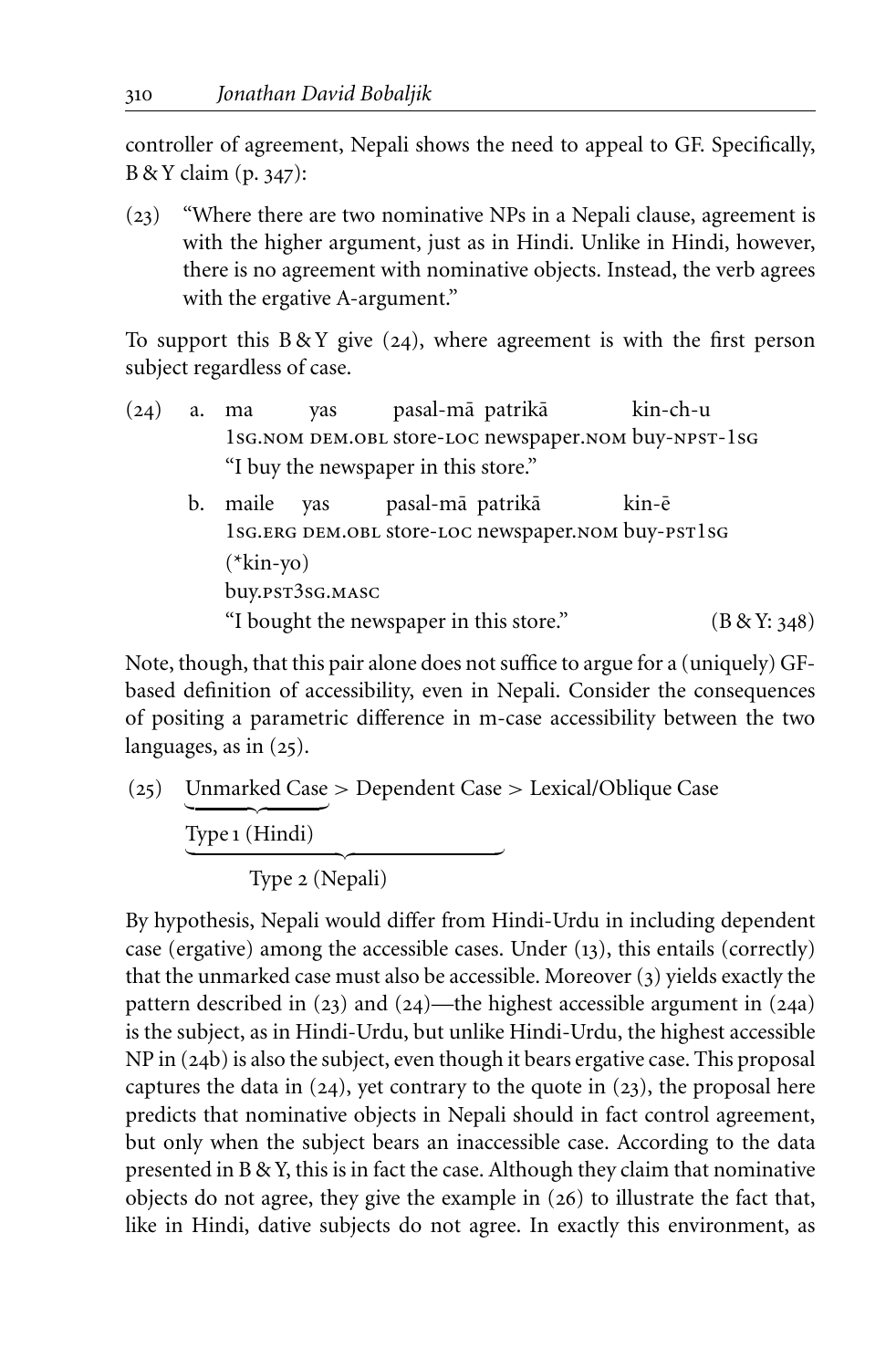controller of agreement, Nepali shows the need to appeal to GF. Specifically, B & Y claim (p. 347):

(23) "Where there are two nominative NPs in a Nepali clause, agreement is with the higher argument, just as in Hindi. Unlike in Hindi, however, there is no agreement with nominative objects. Instead, the verb agrees with the ergative A-argument."

To support this  $B \& Y$  give (24), where agreement is with the first person subject regardless of case.

- (24) a. ma 1sg.nom dem.obl store-loc newspaper.nom buy-npst-1sg yas pasal-mā patrikā kin-ch-u "I buy the newspaper in this store."
	- b. maile 1sg.erg dem.obl store-loc newspaper.nom buy-pst1sg yas pasal-mā patrikā kin-ē  $(*kin-yo)$ buy.pst3sg.masc "I bought the newspaper in this store."  $(B & Y: 348)$

Note, though, that this pair alone does not suffice to argue for a (uniquely) GFbased definition of accessibility, even in Nepali. Consider the consequences of positing a parametric difference in m-case accessibility between the two languages, as in  $(25)$ .

(25) Unmarked Case > Dependent Case > Lexical/Oblique Case

Type 1 (Hindi)

Type 2 (Nepali)

By hypothesis, Nepali would differ from Hindi-Urdu in including dependent case (ergative) among the accessible cases. Under (13), this entails (correctly) that the unmarked case must also be accessible. Moreover (3) yields exactly the pattern described in  $(23)$  and  $(24)$ —the highest accessible argument in  $(24a)$ is the subject, as in Hindi-Urdu, but unlike Hindi-Urdu, the highest accessible NP in (24b) is also the subject, even though it bears ergative case. This proposal captures the data in  $(24)$ , yet contrary to the quote in  $(23)$ , the proposal here predicts that nominative objects in Nepali should in fact control agreement, but only when the subject bears an inaccessible case. According to the data presented in B & Y, this is in fact the case. Although they claim that nominative objects do not agree, they give the example in (26) to illustrate the fact that, like in Hindi, dative subjects do not agree. In exactly this environment, as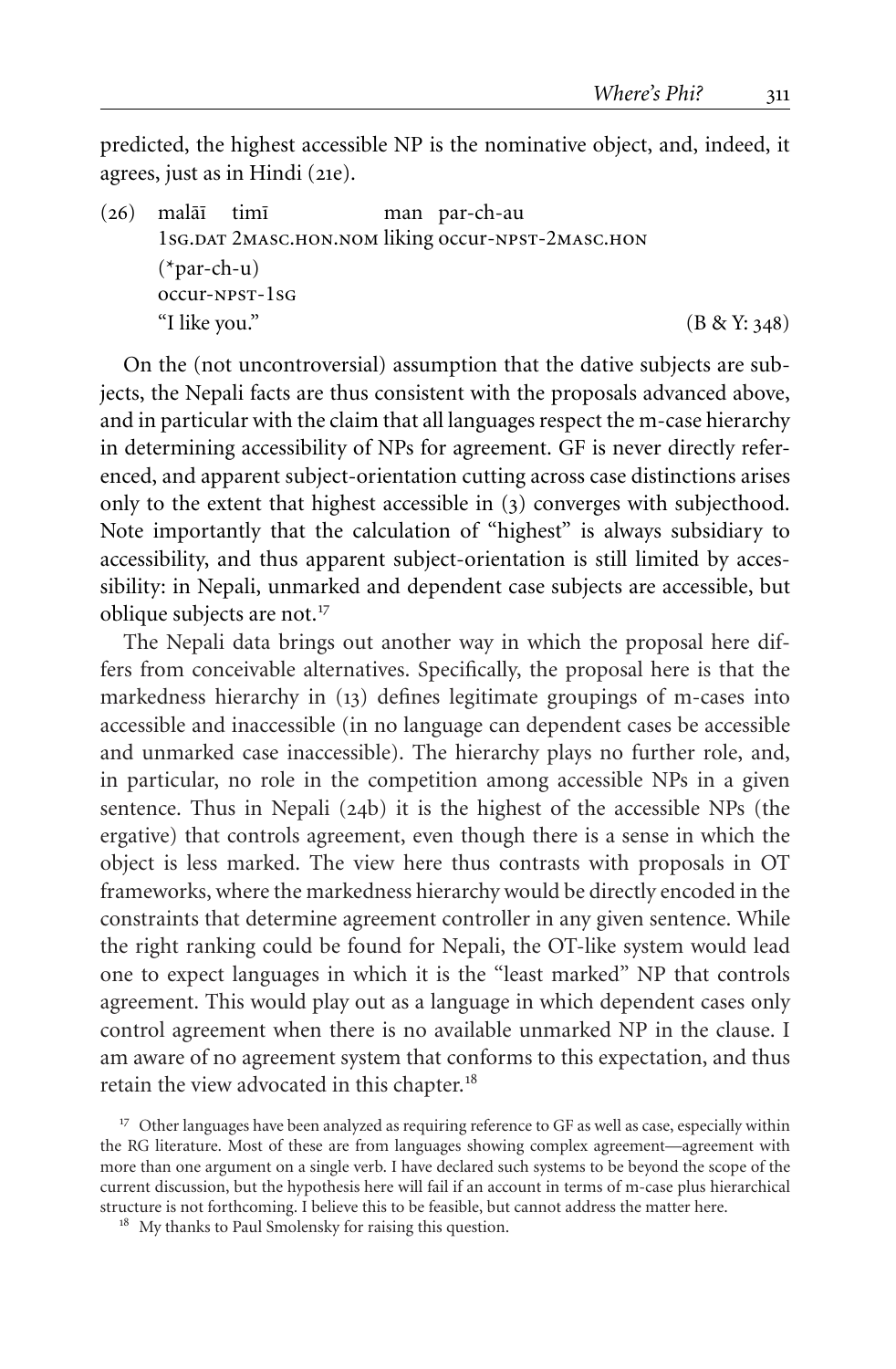predicted, the highest accessible NP is the nominative object, and, indeed, it agrees, just as in Hindi (21e).

 $(26)$  mala $\overline{a}$ 1sg.dat 2MASC.HON.NOM liking occur-NPST-2MASC.HON timī man par-ch-au (\*par-ch-u) occur-npst-1sg "I like you."  $(B & Y: 348)$ 

On the (not uncontroversial) assumption that the dative subjects are subjects, the Nepali facts are thus consistent with the proposals advanced above, and in particular with the claim that all languages respect the m-case hierarchy in determining accessibility of NPs for agreement. GF is never directly referenced, and apparent subject-orientation cutting across case distinctions arises only to the extent that highest accessible in (3) converges with subjecthood. Note importantly that the calculation of "highest" is always subsidiary to accessibility, and thus apparent subject-orientation is still limited by accessibility: in Nepali, unmarked and dependent case subjects are accessible, but oblique subjects are not.<sup>17</sup>

The Nepali data brings out another way in which the proposal here differs from conceivable alternatives. Specifically, the proposal here is that the markedness hierarchy in (13) defines legitimate groupings of m-cases into accessible and inaccessible (in no language can dependent cases be accessible and unmarked case inaccessible). The hierarchy plays no further role, and, in particular, no role in the competition among accessible NPs in a given sentence. Thus in Nepali (24b) it is the highest of the accessible NPs (the ergative) that controls agreement, even though there is a sense in which the object is less marked. The view here thus contrasts with proposals in OT frameworks, where the markedness hierarchy would be directly encoded in the constraints that determine agreement controller in any given sentence. While the right ranking could be found for Nepali, the OT-like system would lead one to expect languages in which it is the "least marked" NP that controls agreement. This would play out as a language in which dependent cases only control agreement when there is no available unmarked NP in the clause. I am aware of no agreement system that conforms to this expectation, and thus retain the view advocated in this chapter.<sup>18</sup>

<sup>18</sup> My thanks to Paul Smolensky for raising this question.

<sup>&</sup>lt;sup>17</sup> Other languages have been analyzed as requiring reference to GF as well as case, especially within the RG literature. Most of these are from languages showing complex agreement—agreement with more than one argument on a single verb. I have declared such systems to be beyond the scope of the current discussion, but the hypothesis here will fail if an account in terms of m-case plus hierarchical structure is not forthcoming. I believe this to be feasible, but cannot address the matter here.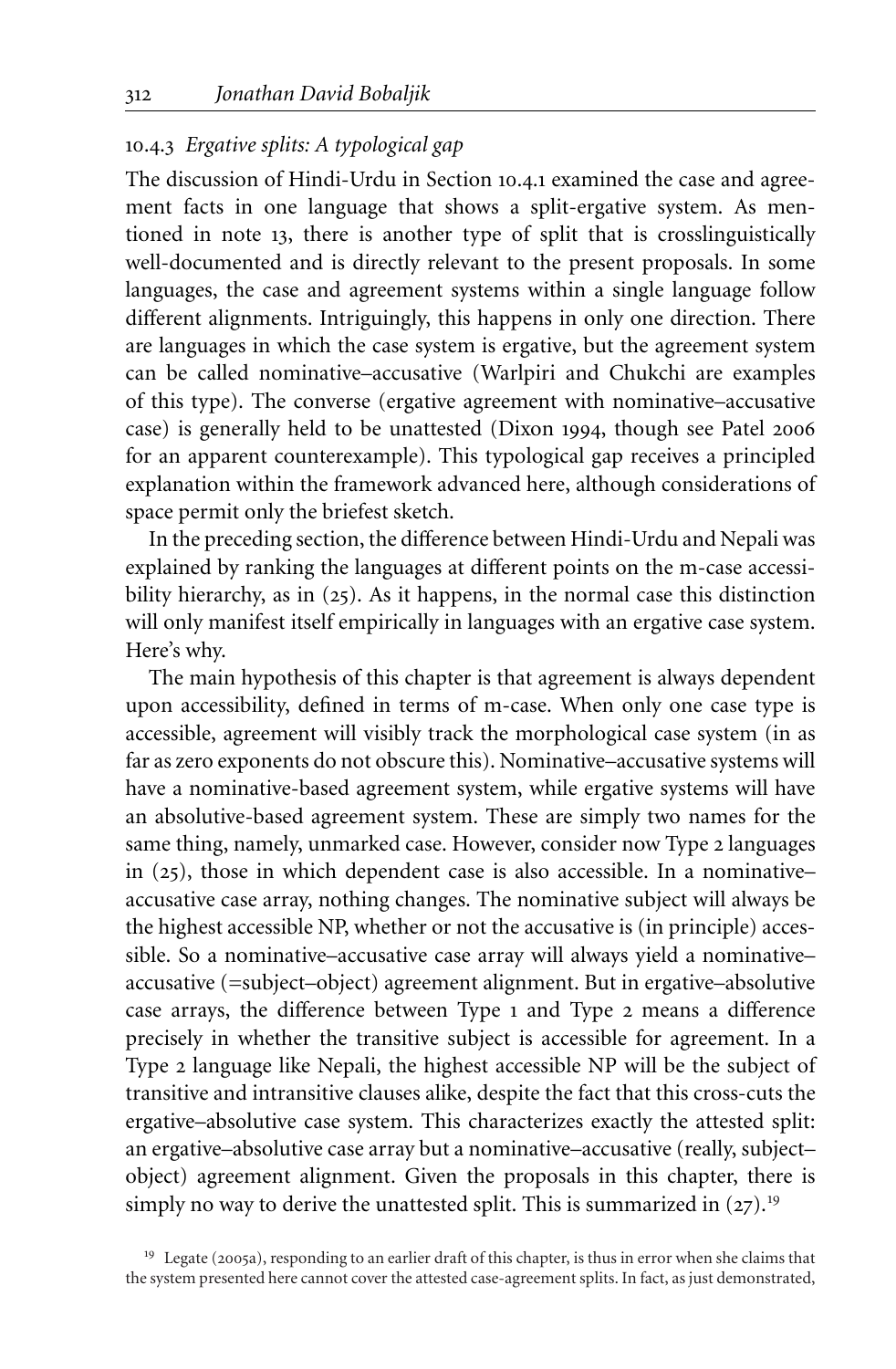### 10.4.3 *Ergative splits: A typological gap*

The discussion of Hindi-Urdu in Section 10.4.1 examined the case and agreement facts in one language that shows a split-ergative system. As mentioned in note 13, there is another type of split that is crosslinguistically well-documented and is directly relevant to the present proposals. In some languages, the case and agreement systems within a single language follow different alignments. Intriguingly, this happens in only one direction. There are languages in which the case system is ergative, but the agreement system can be called nominative–accusative (Warlpiri and Chukchi are examples of this type). The converse (ergative agreement with nominative–accusative case) is generally held to be unattested (Dixon 1994, though see Patel 2006 for an apparent counterexample). This typological gap receives a principled explanation within the framework advanced here, although considerations of space permit only the briefest sketch.

In the preceding section, the difference between Hindi-Urdu and Nepali was explained by ranking the languages at different points on the m-case accessibility hierarchy, as in (25). As it happens, in the normal case this distinction will only manifest itself empirically in languages with an ergative case system. Here's why.

The main hypothesis of this chapter is that agreement is always dependent upon accessibility, defined in terms of m-case. When only one case type is accessible, agreement will visibly track the morphological case system (in as far as zero exponents do not obscure this). Nominative–accusative systems will have a nominative-based agreement system, while ergative systems will have an absolutive-based agreement system. These are simply two names for the same thing, namely, unmarked case. However, consider now Type 2 languages in (25), those in which dependent case is also accessible. In a nominative– accusative case array, nothing changes. The nominative subject will always be the highest accessible NP, whether or not the accusative is (in principle) accessible. So a nominative–accusative case array will always yield a nominative– accusative (=subject–object) agreement alignment. But in ergative–absolutive case arrays, the difference between Type 1 and Type 2 means a difference precisely in whether the transitive subject is accessible for agreement. In a Type 2 language like Nepali, the highest accessible NP will be the subject of transitive and intransitive clauses alike, despite the fact that this cross-cuts the ergative–absolutive case system. This characterizes exactly the attested split: an ergative–absolutive case array but a nominative–accusative (really, subject– object) agreement alignment. Given the proposals in this chapter, there is simply no way to derive the unattested split. This is summarized in  $(27)^{19}$ 

<sup>&</sup>lt;sup>19</sup> Legate (2005a), responding to an earlier draft of this chapter, is thus in error when she claims that the system presented here cannot cover the attested case-agreement splits. In fact, as just demonstrated,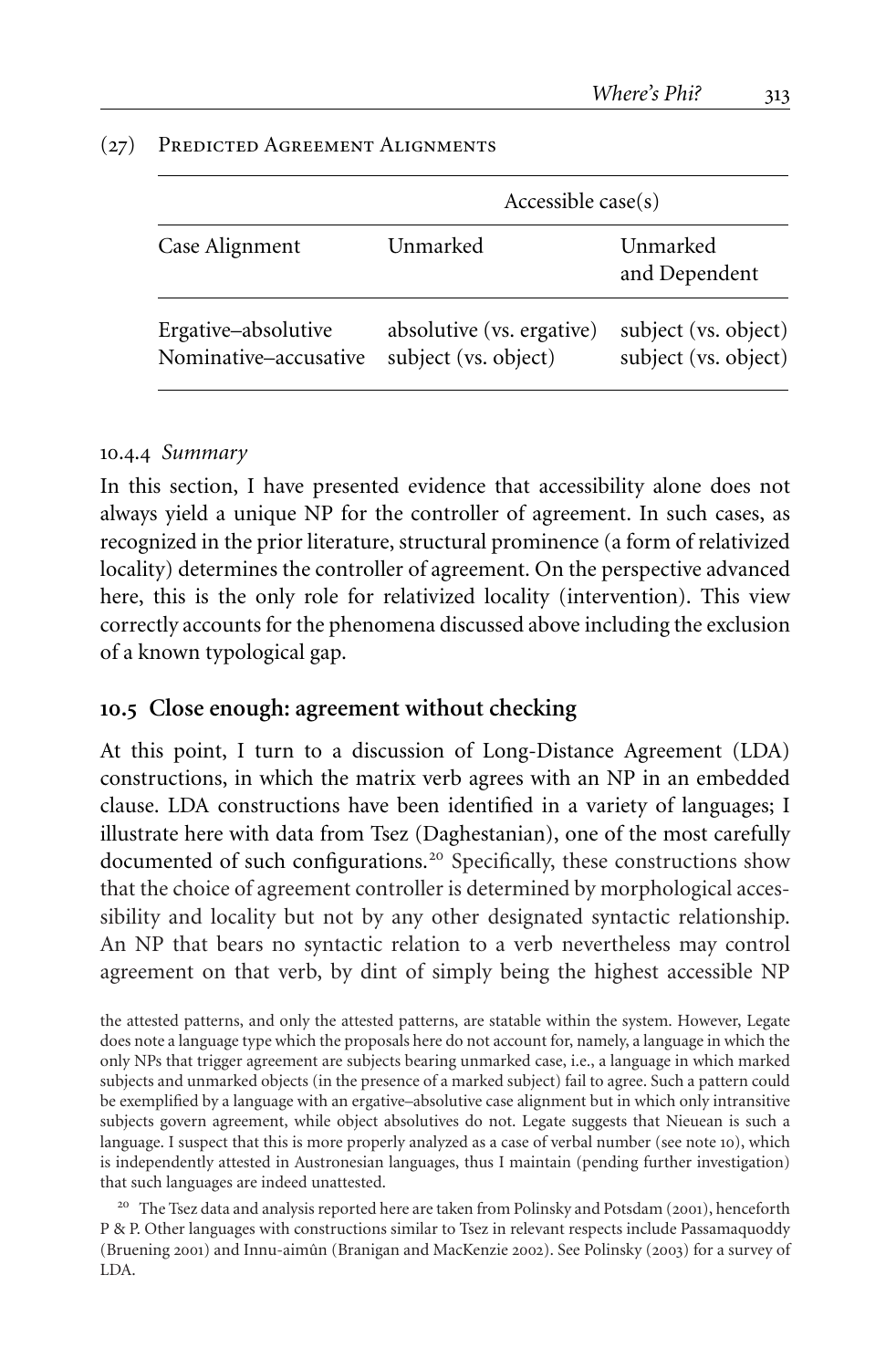#### (27) Predicted Agreement Alignments

|                                              | Accessible case(s)                                |                                              |  |  |
|----------------------------------------------|---------------------------------------------------|----------------------------------------------|--|--|
| Case Alignment                               | Unmarked                                          | Unmarked<br>and Dependent                    |  |  |
| Ergative-absolutive<br>Nominative-accusative | absolutive (vs. ergative)<br>subject (vs. object) | subject (vs. object)<br>subject (vs. object) |  |  |

#### 10.4.4 *Summary*

In this section, I have presented evidence that accessibility alone does not always yield a unique NP for the controller of agreement. In such cases, as recognized in the prior literature, structural prominence (a form of relativized locality) determines the controller of agreement. On the perspective advanced here, this is the only role for relativized locality (intervention). This view correctly accounts for the phenomena discussed above including the exclusion of a known typological gap.

# **10.5 Close enough: agreement without checking**

At this point, I turn to a discussion of Long-Distance Agreement (LDA) constructions, in which the matrix verb agrees with an NP in an embedded clause. LDA constructions have been identified in a variety of languages; I illustrate here with data from Tsez (Daghestanian), one of the most carefully documented of such configurations.<sup>20</sup> Specifically, these constructions show that the choice of agreement controller is determined by morphological accessibility and locality but not by any other designated syntactic relationship. An NP that bears no syntactic relation to a verb nevertheless may control agreement on that verb, by dint of simply being the highest accessible NP

the attested patterns, and only the attested patterns, are statable within the system. However, Legate does note a language type which the proposals here do not account for, namely, a language in which the only NPs that trigger agreement are subjects bearing unmarked case, i.e., a language in which marked subjects and unmarked objects (in the presence of a marked subject) fail to agree. Such a pattern could be exemplified by a language with an ergative–absolutive case alignment but in which only intransitive subjects govern agreement, while object absolutives do not. Legate suggests that Nieuean is such a language. I suspect that this is more properly analyzed as a case of verbal number (see note 10), which is independently attested in Austronesian languages, thus I maintain (pending further investigation) that such languages are indeed unattested.

<sup>20</sup> The Tsez data and analysis reported here are taken from Polinsky and Potsdam (2001), henceforth P & P. Other languages with constructions similar to Tsez in relevant respects include Passamaquoddy (Bruening 2001) and Innu-aimûn (Branigan and MacKenzie 2002). See Polinsky (2003) for a survey of LDA.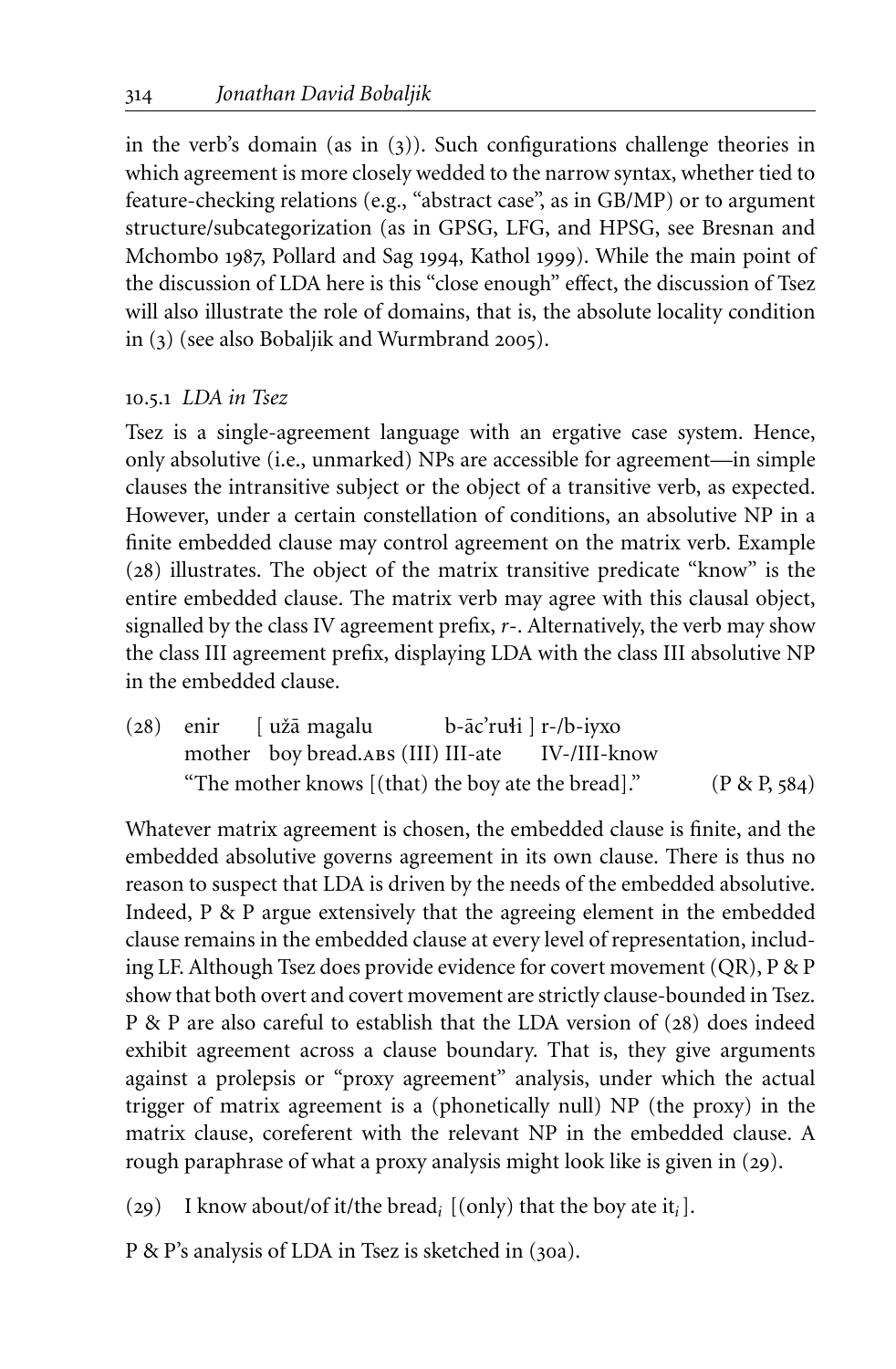in the verb's domain (as in (3)). Such configurations challenge theories in which agreement is more closely wedded to the narrow syntax, whether tied to feature-checking relations (e.g., "abstract case", as in GB/MP) or to argument structure/subcategorization (as in GPSG, LFG, and HPSG, see Bresnan and Mchombo 1987, Pollard and Sag 1994, Kathol 1999). While the main point of the discussion of LDA here is this "close enough" effect, the discussion of Tsez will also illustrate the role of domains, that is, the absolute locality condition in (3) (see also Bobaljik and Wurmbrand 2005).

#### 10.5.1 *LDA in Tsez*

Tsez is a single-agreement language with an ergative case system. Hence, only absolutive (i.e., unmarked) NPs are accessible for agreement—in simple clauses the intransitive subject or the object of a transitive verb, as expected. However, under a certain constellation of conditions, an absolutive NP in a finite embedded clause may control agreement on the matrix verb. Example (28) illustrates. The object of the matrix transitive predicate "know" is the entire embedded clause. The matrix verb may agree with this clausal object, signalled by the class IV agreement prefix, *r*-. Alternatively, the verb may show the class III agreement prefix, displaying LDA with the class III absolutive NP in the embedded clause.

(28) enir mother boy bread.abs (III) III-ate [ uža¯ magalu b-āc'ruɬi ] r-/b-iyxo IV-/III-know "The mother knows  $[(that)$  the boy ate the bread]." (P & P, 584)

Whatever matrix agreement is chosen, the embedded clause is finite, and the embedded absolutive governs agreement in its own clause. There is thus no reason to suspect that LDA is driven by the needs of the embedded absolutive. Indeed, P & P argue extensively that the agreeing element in the embedded clause remains in the embedded clause at every level of representation, including LF. Although Tsez does provide evidence for covert movement (QR), P & P show that both overt and covert movement are strictly clause-bounded in Tsez. P & P are also careful to establish that the LDA version of (28) does indeed exhibit agreement across a clause boundary. That is, they give arguments against a prolepsis or "proxy agreement" analysis, under which the actual trigger of matrix agreement is a (phonetically null) NP (the proxy) in the matrix clause, coreferent with the relevant NP in the embedded clause. A rough paraphrase of what a proxy analysis might look like is given in (29).

(29) I know about/of it/the bread*<sup>i</sup>* [(only) that the boy ate it*i*].

P & P's analysis of LDA in Tsez is sketched in (30a).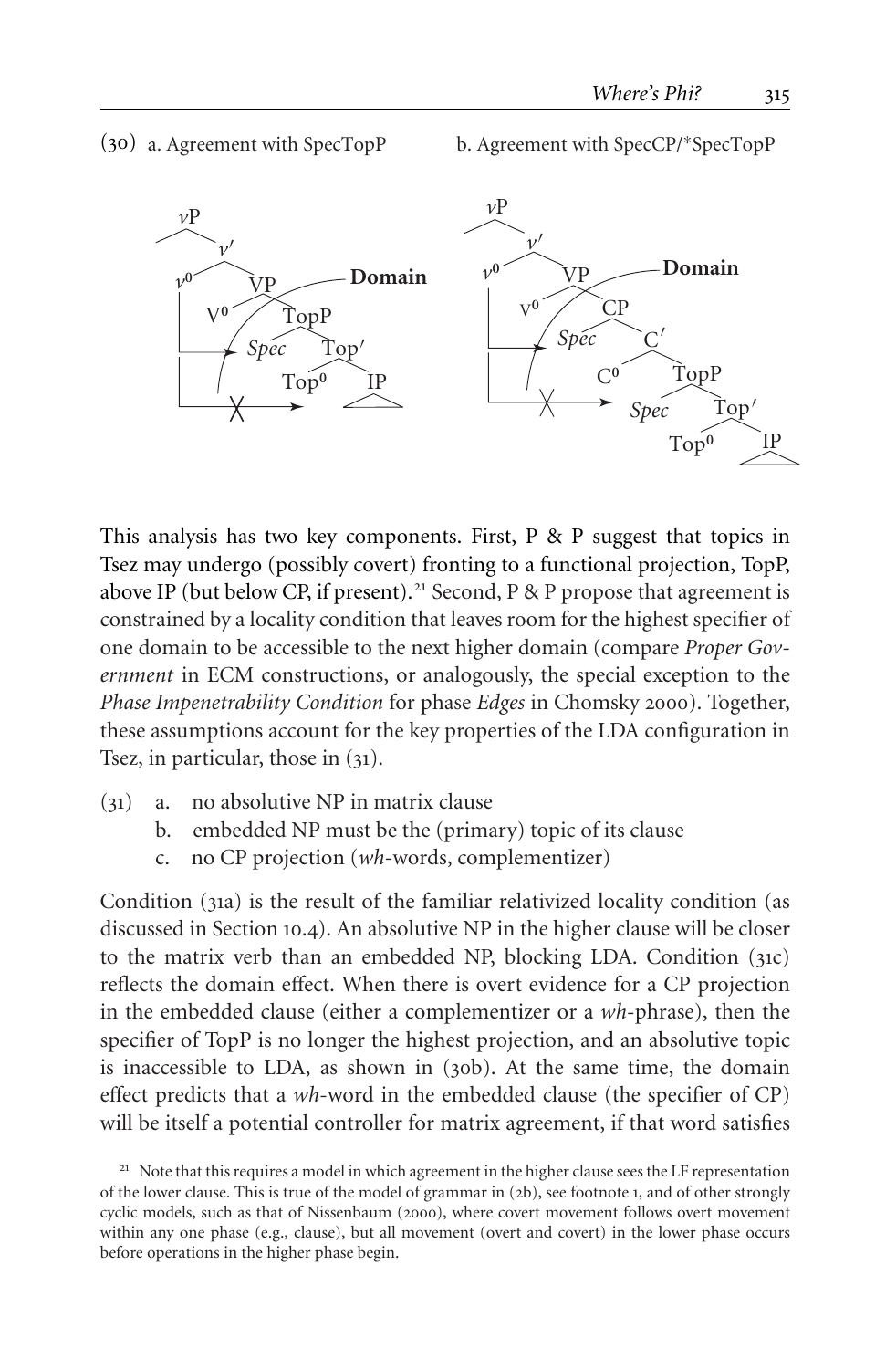(30) a. Agreement with SpecTopP b. Agreement with SpecCP/∗SpecTopP



This analysis has two key components. First, P & P suggest that topics in Tsez may undergo (possibly covert) fronting to a functional projection, TopP, above IP (but below CP, if present).<sup>21</sup> Second,  $P \& P$  propose that agreement is constrained by a locality condition that leaves room for the highest specifier of one domain to be accessible to the next higher domain (compare *Proper Government* in ECM constructions, or analogously, the special exception to the *Phase Impenetrability Condition* for phase *Edges* in Chomsky 2000). Together, these assumptions account for the key properties of the LDA configuration in Tsez, in particular, those in (31).

- (31) a. no absolutive NP in matrix clause
	- b. embedded NP must be the (primary) topic of its clause
	- c. no CP projection (*wh*-words, complementizer)

Condition (31a) is the result of the familiar relativized locality condition (as discussed in Section 10.4). An absolutive NP in the higher clause will be closer to the matrix verb than an embedded NP, blocking LDA. Condition (31c) reflects the domain effect. When there is overt evidence for a CP projection in the embedded clause (either a complementizer or a *wh*-phrase), then the specifier of TopP is no longer the highest projection, and an absolutive topic is inaccessible to LDA, as shown in (30b). At the same time, the domain effect predicts that a *wh*-word in the embedded clause (the specifier of CP) will be itself a potential controller for matrix agreement, if that word satisfies

 $21$  Note that this requires a model in which agreement in the higher clause sees the LF representation of the lower clause. This is true of the model of grammar in (2b), see footnote 1, and of other strongly cyclic models, such as that of Nissenbaum (2000), where covert movement follows overt movement within any one phase (e.g., clause), but all movement (overt and covert) in the lower phase occurs before operations in the higher phase begin.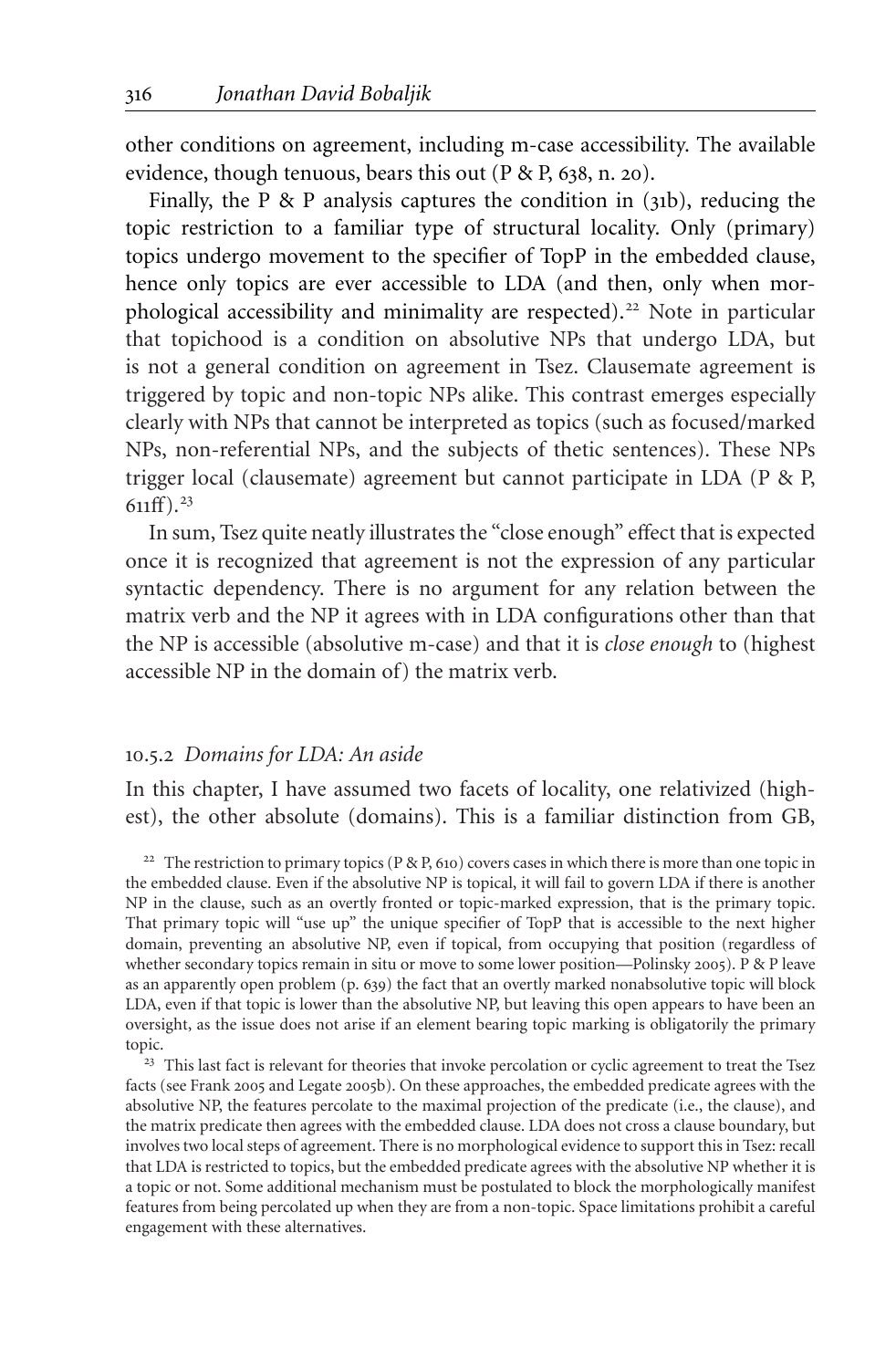other conditions on agreement, including m-case accessibility. The available evidence, though tenuous, bears this out (P & P, 638, n. 20).

Finally, the P & P analysis captures the condition in (31b), reducing the topic restriction to a familiar type of structural locality. Only (primary) topics undergo movement to the specifier of TopP in the embedded clause, hence only topics are ever accessible to LDA (and then, only when morphological accessibility and minimality are respected).<sup>22</sup> Note in particular that topichood is a condition on absolutive NPs that undergo LDA, but is not a general condition on agreement in Tsez. Clausemate agreement is triggered by topic and non-topic NPs alike. This contrast emerges especially clearly with NPs that cannot be interpreted as topics (such as focused/marked NPs, non-referential NPs, and the subjects of thetic sentences). These NPs trigger local (clausemate) agreement but cannot participate in LDA (P & P,  $611ff$ ).<sup>23</sup>

In sum, Tsez quite neatly illustrates the "close enough" effect that is expected once it is recognized that agreement is not the expression of any particular syntactic dependency. There is no argument for any relation between the matrix verb and the NP it agrees with in LDA configurations other than that the NP is accessible (absolutive m-case) and that it is *close enough* to (highest accessible NP in the domain of) the matrix verb.

#### 10.5.2 *Domains for LDA: An aside*

In this chapter, I have assumed two facets of locality, one relativized (highest), the other absolute (domains). This is a familiar distinction from GB,

<sup>22</sup> The restriction to primary topics (P & P, 610) covers cases in which there is more than one topic in the embedded clause. Even if the absolutive NP is topical, it will fail to govern LDA if there is another NP in the clause, such as an overtly fronted or topic-marked expression, that is the primary topic. That primary topic will "use up" the unique specifier of TopP that is accessible to the next higher domain, preventing an absolutive NP, even if topical, from occupying that position (regardless of whether secondary topics remain in situ or move to some lower position—Polinsky 2005). P & P leave as an apparently open problem (p. 639) the fact that an overtly marked nonabsolutive topic will block LDA, even if that topic is lower than the absolutive NP, but leaving this open appears to have been an oversight, as the issue does not arise if an element bearing topic marking is obligatorily the primary topic.

<sup>23</sup> This last fact is relevant for theories that invoke percolation or cyclic agreement to treat the Tsez facts (see Frank 2005 and Legate 2005b). On these approaches, the embedded predicate agrees with the absolutive NP, the features percolate to the maximal projection of the predicate (i.e., the clause), and the matrix predicate then agrees with the embedded clause. LDA does not cross a clause boundary, but involves two local steps of agreement. There is no morphological evidence to support this in Tsez: recall that LDA is restricted to topics, but the embedded predicate agrees with the absolutive NP whether it is a topic or not. Some additional mechanism must be postulated to block the morphologically manifest features from being percolated up when they are from a non-topic. Space limitations prohibit a careful engagement with these alternatives.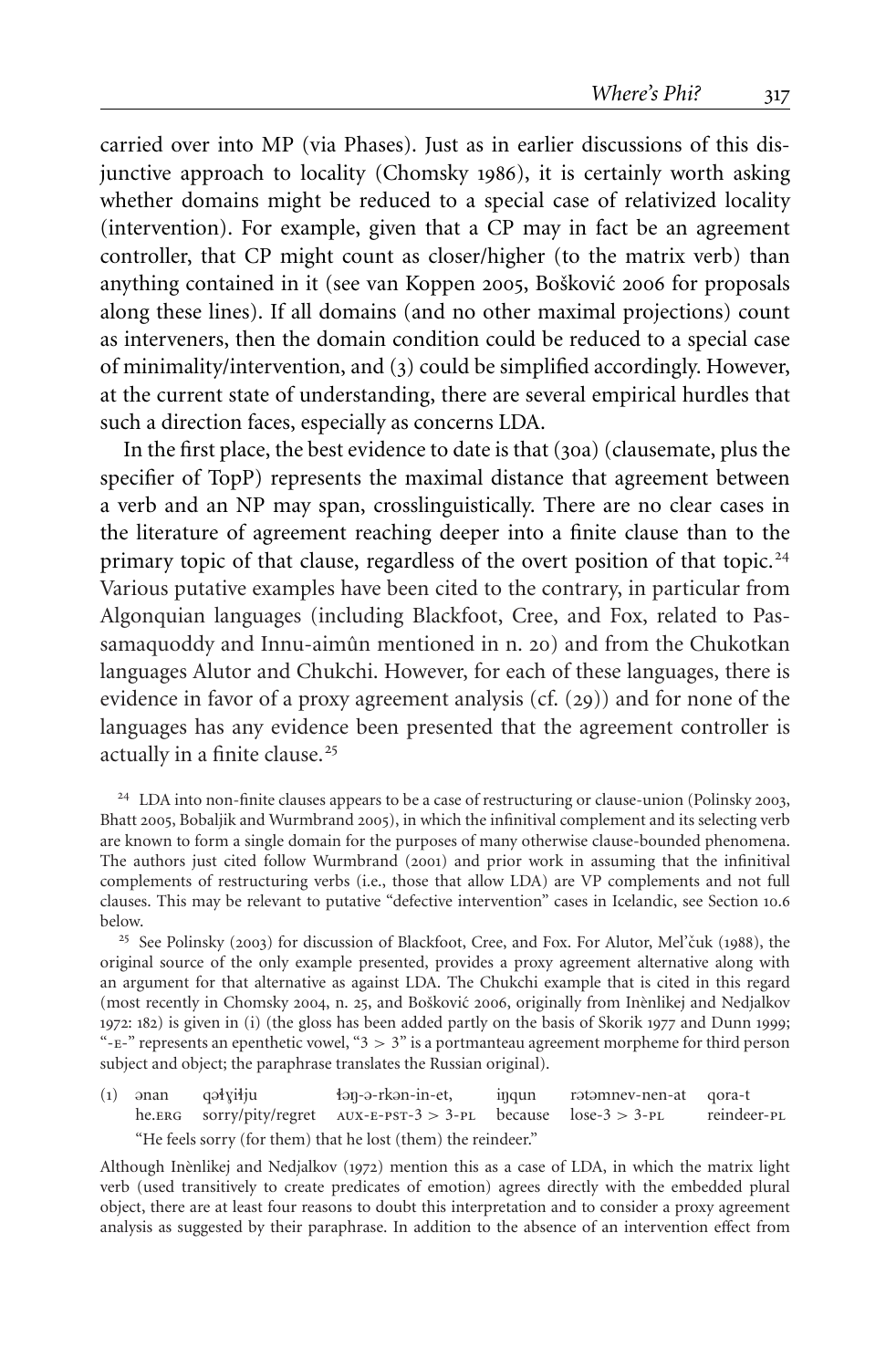carried over into MP (via Phases). Just as in earlier discussions of this disjunctive approach to locality (Chomsky 1986), it is certainly worth asking whether domains might be reduced to a special case of relativized locality (intervention). For example, given that a CP may in fact be an agreement controller, that CP might count as closer/higher (to the matrix verb) than anything contained in it (see van Koppen 2005, Bošković 2006 for proposals along these lines). If all domains (and no other maximal projections) count as interveners, then the domain condition could be reduced to a special case of minimality/intervention, and (3) could be simplified accordingly. However, at the current state of understanding, there are several empirical hurdles that such a direction faces, especially as concerns LDA.

In the first place, the best evidence to date is that (30a) (clausemate, plus the specifier of TopP) represents the maximal distance that agreement between a verb and an NP may span, crosslinguistically. There are no clear cases in the literature of agreement reaching deeper into a finite clause than to the primary topic of that clause, regardless of the overt position of that topic.<sup>24</sup> Various putative examples have been cited to the contrary, in particular from Algonquian languages (including Blackfoot, Cree, and Fox, related to Passamaquoddy and Innu-aimûn mentioned in n. 20) and from the Chukotkan languages Alutor and Chukchi. However, for each of these languages, there is evidence in favor of a proxy agreement analysis (cf. (29)) and for none of the languages has any evidence been presented that the agreement controller is actually in a finite clause.<sup>25</sup>

<sup>24</sup> LDA into non-finite clauses appears to be a case of restructuring or clause-union (Polinsky 2003, Bhatt 2005, Bobaljik and Wurmbrand 2005), in which the infinitival complement and its selecting verb are known to form a single domain for the purposes of many otherwise clause-bounded phenomena. The authors just cited follow Wurmbrand (2001) and prior work in assuming that the infinitival complements of restructuring verbs (i.e., those that allow LDA) are VP complements and not full clauses. This may be relevant to putative "defective intervention" cases in Icelandic, see Section 10.6 below.

<sup>25</sup> See Polinsky (2003) for discussion of Blackfoot, Cree, and Fox. For Alutor, Mel'čuk (1988), the original source of the only example presented, provides a proxy agreement alternative along with an argument for that alternative as against LDA. The Chukchi example that is cited in this regard (most recently in Chomsky 2004, n. 25, and Boškovic´ 2006, originally from Inènlikej and Nedjalkov 1972: 182) is given in (i) (the gloss has been added partly on the basis of Skorik 1977 and Dunn 1999; "- $E$ -" represents an epenthetic vowel, " $3 > 3$ " is a portmanteau agreement morpheme for third person subject and object; the paraphrase translates the Russian original).

 $(1)$  anan he.erg qətvitju sorry/pity/regret łən-ə-rkən-in-et,  $AUX-E-PST-3 > 3-PL$ inqun because ratamnev-nen-at  $lose-3 > 3-PL$ qora-t reindeer-pl "He feels sorry (for them) that he lost (them) the reindeer."

Although Inènlikej and Nedjalkov (1972) mention this as a case of LDA, in which the matrix light verb (used transitively to create predicates of emotion) agrees directly with the embedded plural object, there are at least four reasons to doubt this interpretation and to consider a proxy agreement analysis as suggested by their paraphrase. In addition to the absence of an intervention effect from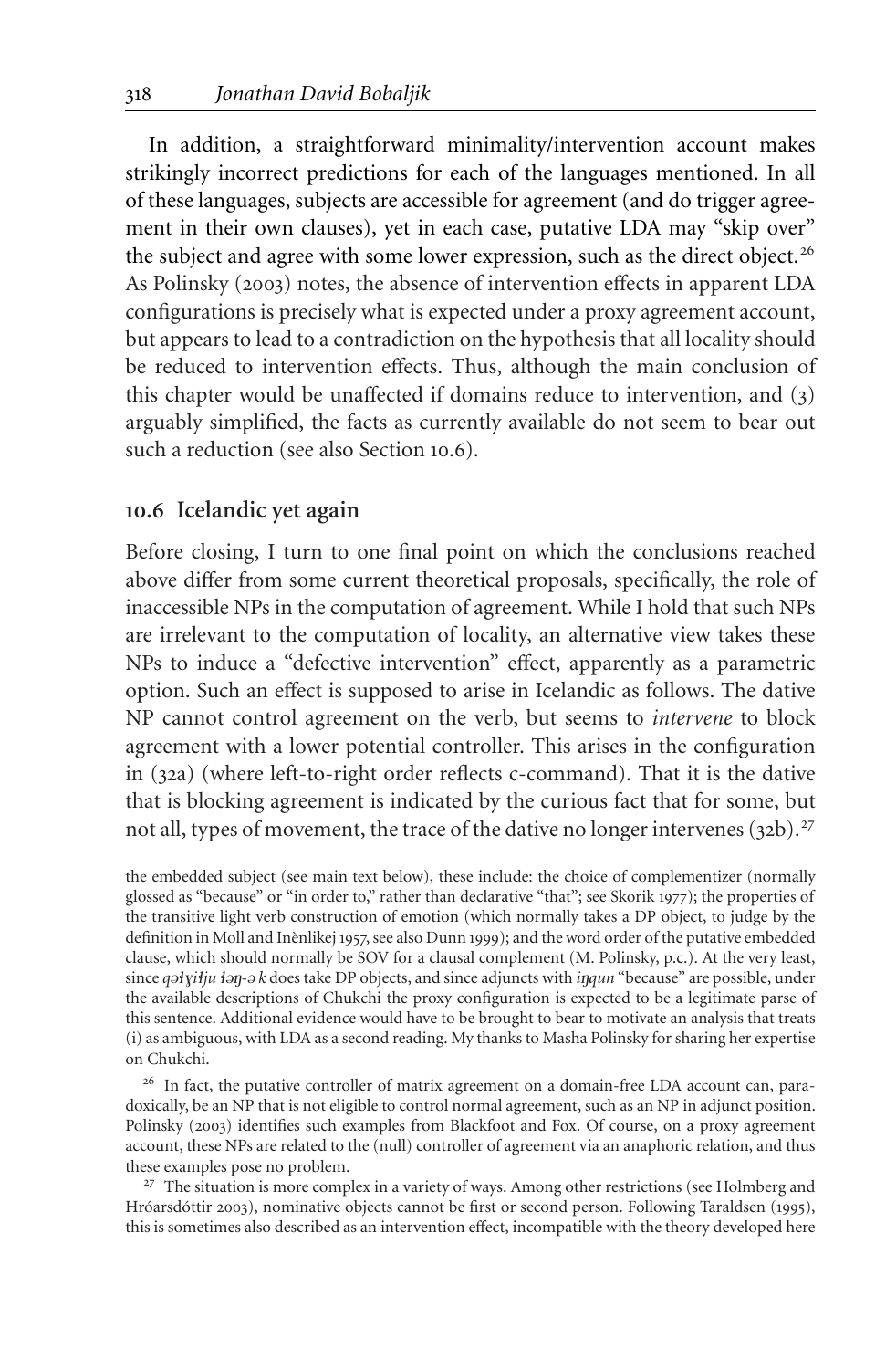In addition, a straightforward minimality/intervention account makes strikingly incorrect predictions for each of the languages mentioned. In all of these languages, subjects are accessible for agreement (and do trigger agreement in their own clauses), yet in each case, putative LDA may "skip over" the subject and agree with some lower expression, such as the direct object.<sup>26</sup> As Polinsky (2003) notes, the absence of intervention effects in apparent LDA configurations is precisely what is expected under a proxy agreement account, but appears to lead to a contradiction on the hypothesis that all locality should be reduced to intervention effects. Thus, although the main conclusion of this chapter would be unaffected if domains reduce to intervention, and (3) arguably simplified, the facts as currently available do not seem to bear out such a reduction (see also Section 10.6).

#### **10.6 Icelandic yet again**

Before closing, I turn to one final point on which the conclusions reached above differ from some current theoretical proposals, specifically, the role of inaccessible NPs in the computation of agreement. While I hold that such NPs are irrelevant to the computation of locality, an alternative view takes these NPs to induce a "defective intervention" effect, apparently as a parametric option. Such an effect is supposed to arise in Icelandic as follows. The dative NP cannot control agreement on the verb, but seems to *intervene* to block agreement with a lower potential controller. This arises in the configuration in (32a) (where left-to-right order reflects c-command). That it is the dative that is blocking agreement is indicated by the curious fact that for some, but not all, types of movement, the trace of the dative no longer intervenes (32b).<sup>27</sup>

the embedded subject (see main text below), these include: the choice of complementizer (normally glossed as "because" or "in order to," rather than declarative "that"; see Skorik 1977); the properties of the transitive light verb construction of emotion (which normally takes a DP object, to judge by the definition in Moll and Inènlikej 1957, see also Dunn 1999); and the word order of the putative embedded clause, which should normally be SOV for a clausal complement (M. Polinsky, p.c.). At the very least, since *q* $\partial f$ *i*<sub>i</sub>*ju*  $\partial g$  *k* does take DP objects, and since adjuncts with *inqun* "because" are possible, under the available descriptions of Chukchi the proxy configuration is expected to be a legitimate parse of this sentence. Additional evidence would have to be brought to bear to motivate an analysis that treats (i) as ambiguous, with LDA as a second reading. My thanks to Masha Polinsky for sharing her expertise on Chukchi.

<sup>26</sup> In fact, the putative controller of matrix agreement on a domain-free LDA account can, paradoxically, be an NP that is not eligible to control normal agreement, such as an NP in adjunct position. Polinsky (2003) identifies such examples from Blackfoot and Fox. Of course, on a proxy agreement account, these NPs are related to the (null) controller of agreement via an anaphoric relation, and thus these examples pose no problem.

<sup>27</sup> The situation is more complex in a variety of ways. Among other restrictions (see Holmberg and Hróarsdóttir 2003), nominative objects cannot be first or second person. Following Taraldsen (1995), this is sometimes also described as an intervention effect, incompatible with the theory developed here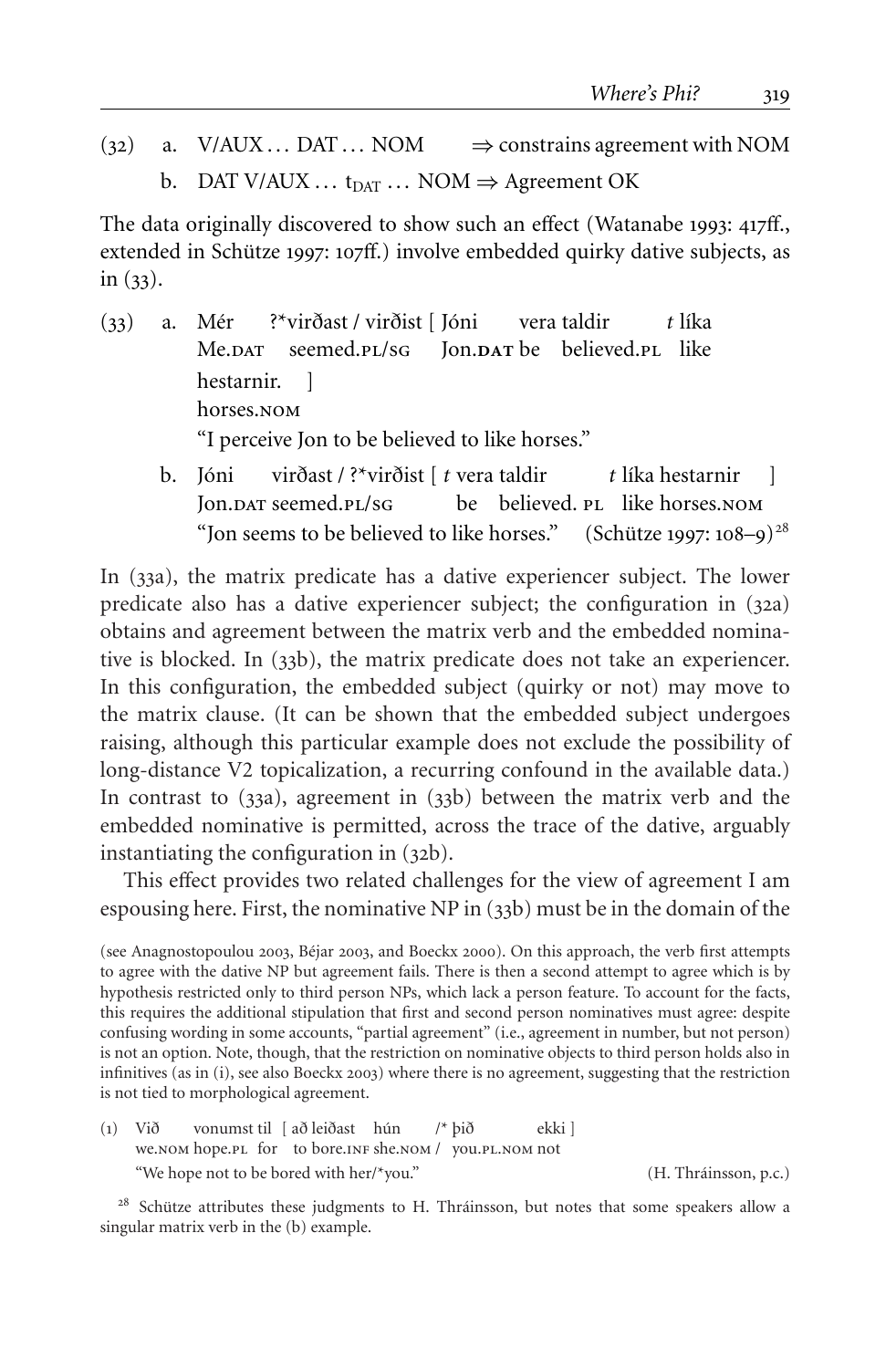(32) a. V/AUX ... DAT ... NOM  $\Rightarrow$  constrains agreement with NOM b. DAT V/AUX  $\dots$  t<sub>DAT</sub>  $\dots$  NOM  $\Rightarrow$  Agreement OK

The data originally discovered to show such an effect (Watanabe 1993: 417ff., extended in Schütze 1997: 107ff.) involve embedded quirky dative subjects, as  $in (33)$ .

- (33) a. Mér Me.<sub>DAT</sub> ?\*virðast / virðist [ Jóni seemed.pl/sG Jon.par be believed.pl like vera taldir *t* líka hestarnir. horses.nom ] "I perceive Jon to be believed to like horses."
	- b. Jóni Jon.dat seemed.pl/sg virðast / ?\*virðist [ *t* vera taldir be believed. PL like horses.nom *t* líka hestarnir ] "Jon seems to be believed to like horses." (Schütze 1997:  $108-9$ )<sup>28</sup>

In (33a), the matrix predicate has a dative experiencer subject. The lower predicate also has a dative experiencer subject; the configuration in (32a) obtains and agreement between the matrix verb and the embedded nominative is blocked. In (33b), the matrix predicate does not take an experiencer. In this configuration, the embedded subject (quirky or not) may move to the matrix clause. (It can be shown that the embedded subject undergoes raising, although this particular example does not exclude the possibility of long-distance V2 topicalization, a recurring confound in the available data.) In contrast to (33a), agreement in (33b) between the matrix verb and the embedded nominative is permitted, across the trace of the dative, arguably instantiating the configuration in (32b).

This effect provides two related challenges for the view of agreement I am espousing here. First, the nominative NP in (33b) must be in the domain of the

(see Anagnostopoulou 2003, Béjar 2003, and Boeckx 2000). On this approach, the verb first attempts to agree with the dative NP but agreement fails. There is then a second attempt to agree which is by hypothesis restricted only to third person NPs, which lack a person feature. To account for the facts, this requires the additional stipulation that first and second person nominatives must agree: despite confusing wording in some accounts, "partial agreement" (i.e., agreement in number, but not person) is not an option. Note, though, that the restriction on nominative objects to third person holds also in infinitives (as in (i), see also Boeckx 2003) where there is no agreement, suggesting that the restriction is not tied to morphological agreement.

(1) Við we.nom hope.pl for to bore.inf she.nom / you.pl.nom not vonumst til [ að leiðast hún /\* þið ekki ] "We hope not to be bored with her/\*you." (H. Thráinsson, p.c.)

 $28$  Schütze attributes these judgments to H. Thráinsson, but notes that some speakers allow a singular matrix verb in the (b) example.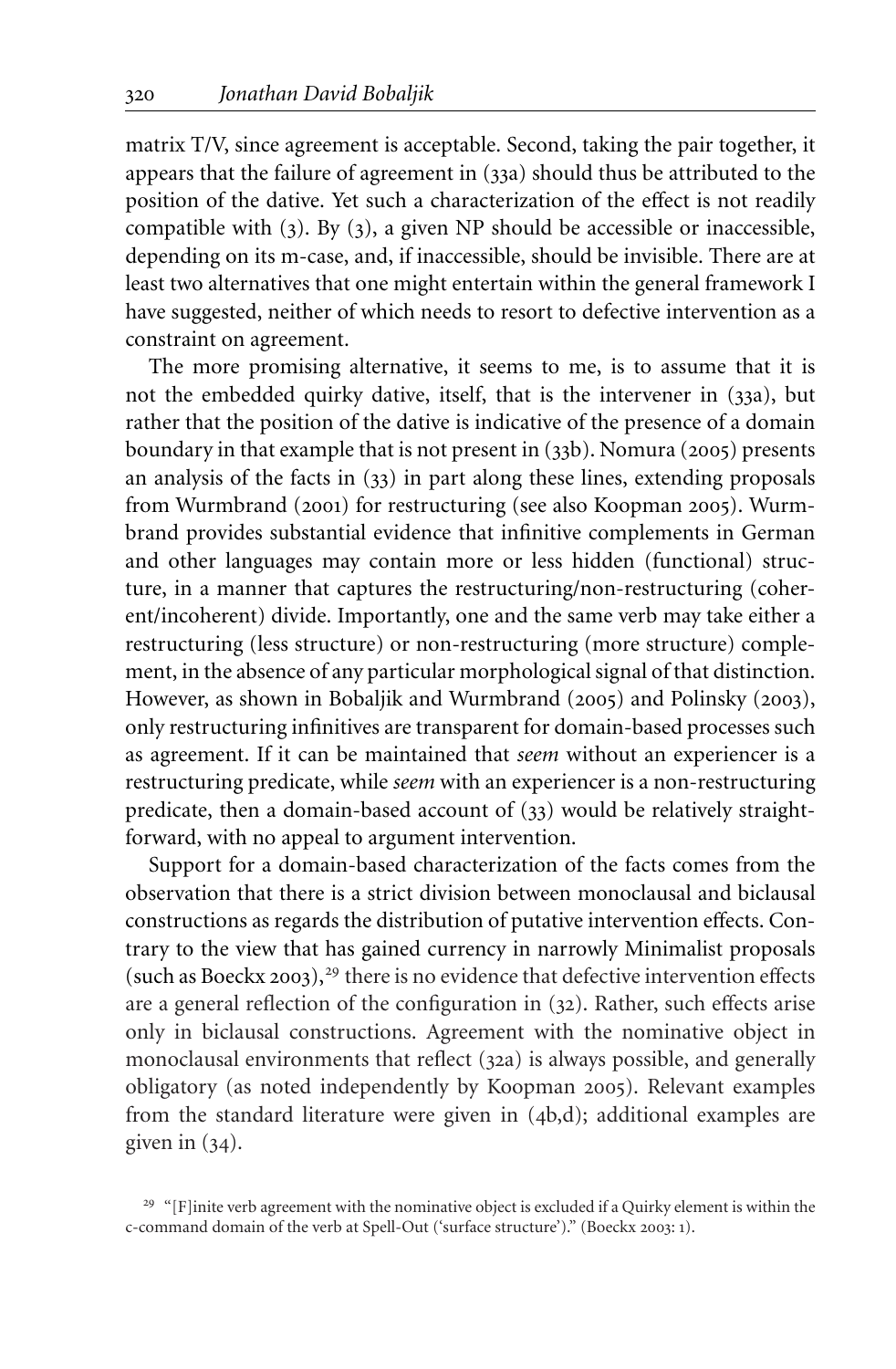matrix T/V, since agreement is acceptable. Second, taking the pair together, it appears that the failure of agreement in (33a) should thus be attributed to the position of the dative. Yet such a characterization of the effect is not readily compatible with (3). By (3), a given NP should be accessible or inaccessible, depending on its m-case, and, if inaccessible, should be invisible. There are at least two alternatives that one might entertain within the general framework I have suggested, neither of which needs to resort to defective intervention as a constraint on agreement.

The more promising alternative, it seems to me, is to assume that it is not the embedded quirky dative, itself, that is the intervener in (33a), but rather that the position of the dative is indicative of the presence of a domain boundary in that example that is not present in (33b). Nomura (2005) presents an analysis of the facts in (33) in part along these lines, extending proposals from Wurmbrand (2001) for restructuring (see also Koopman 2005). Wurmbrand provides substantial evidence that infinitive complements in German and other languages may contain more or less hidden (functional) structure, in a manner that captures the restructuring/non-restructuring (coherent/incoherent) divide. Importantly, one and the same verb may take either a restructuring (less structure) or non-restructuring (more structure) complement, in the absence of any particular morphological signal of that distinction. However, as shown in Bobaljik and Wurmbrand (2005) and Polinsky (2003), only restructuring infinitives are transparent for domain-based processes such as agreement. If it can be maintained that *seem* without an experiencer is a restructuring predicate, while *seem* with an experiencer is a non-restructuring predicate, then a domain-based account of (33) would be relatively straightforward, with no appeal to argument intervention.

Support for a domain-based characterization of the facts comes from the observation that there is a strict division between monoclausal and biclausal constructions as regards the distribution of putative intervention effects. Contrary to the view that has gained currency in narrowly Minimalist proposals (such as Boeckx 2003),  $^{29}$  there is no evidence that defective intervention effects are a general reflection of the configuration in (32). Rather, such effects arise only in biclausal constructions. Agreement with the nominative object in monoclausal environments that reflect (32a) is always possible, and generally obligatory (as noted independently by Koopman 2005). Relevant examples from the standard literature were given in (4b,d); additional examples are given in  $(34)$ .

<sup>&</sup>lt;sup>29</sup> "[F]inite verb agreement with the nominative object is excluded if a Quirky element is within the c-command domain of the verb at Spell-Out ('surface structure')." (Boeckx 2003: 1).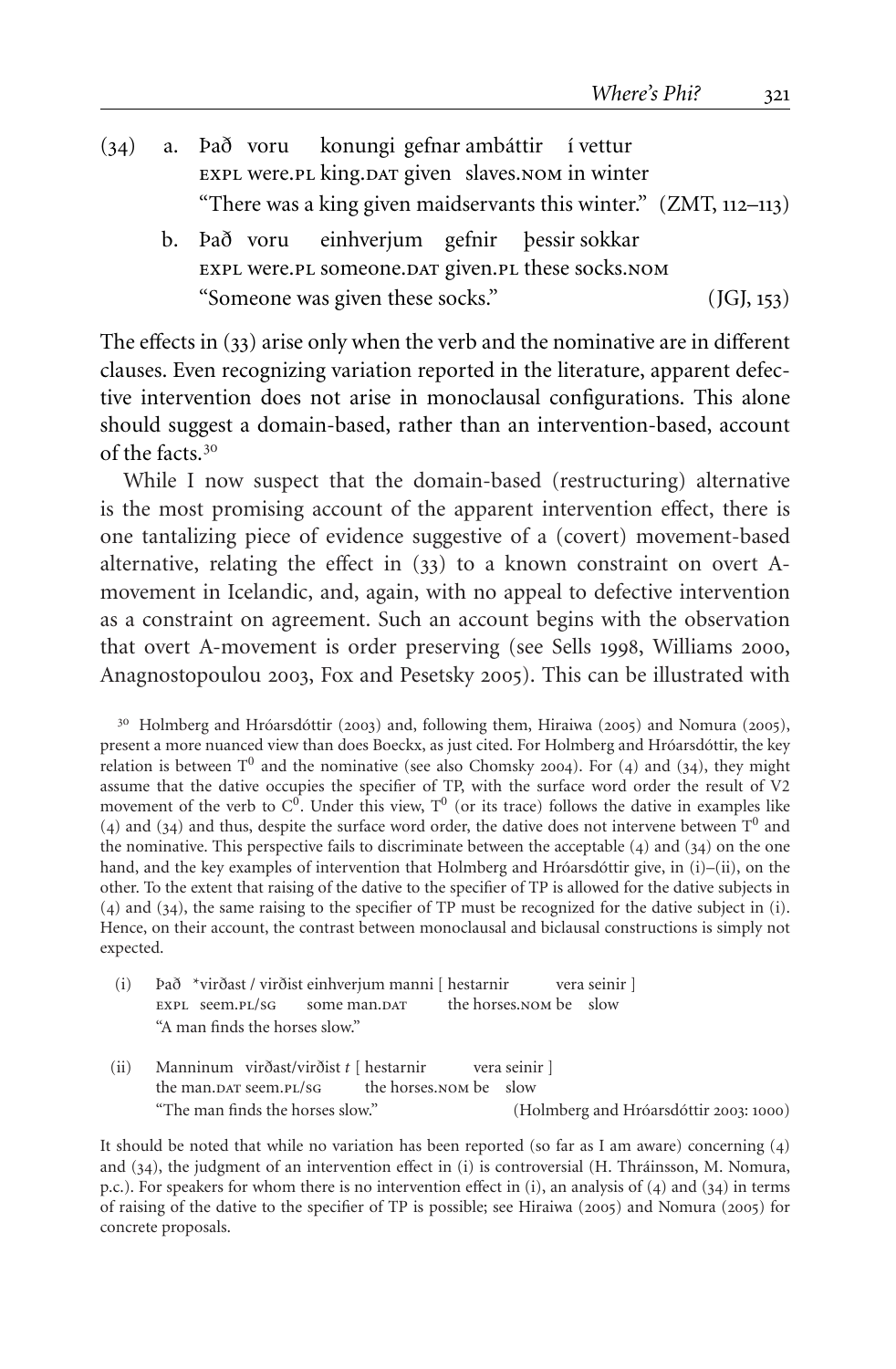|  | $(34)$ a. Það voru konungi gefnar ambáttir í vettur                 |
|--|---------------------------------------------------------------------|
|  | EXPL were. PL king. DAT given slaves. NOM in winter                 |
|  | "There was a king given maidservants this winter." $(ZMT, 112-113)$ |

b. Það voru einhverjum gefnir þessir sokkar EXPL were.PL someone.DAT given.PL these socks.NOM "Someone was given these socks." (JGJ, 153)

The effects in (33) arise only when the verb and the nominative are in different clauses. Even recognizing variation reported in the literature, apparent defective intervention does not arise in monoclausal configurations. This alone should suggest a domain-based, rather than an intervention-based, account of the facts.<sup>30</sup>

While I now suspect that the domain-based (restructuring) alternative is the most promising account of the apparent intervention effect, there is one tantalizing piece of evidence suggestive of a (covert) movement-based alternative, relating the effect in (33) to a known constraint on overt Amovement in Icelandic, and, again, with no appeal to defective intervention as a constraint on agreement. Such an account begins with the observation that overt A-movement is order preserving (see Sells 1998, Williams 2000, Anagnostopoulou 2003, Fox and Pesetsky 2005). This can be illustrated with

<sup>30</sup> Holmberg and Hróarsdóttir (2003) and, following them, Hiraiwa (2005) and Nomura (2005), present a more nuanced view than does Boeckx, as just cited. For Holmberg and Hróarsdóttir, the key relation is between  $T^0$  and the nominative (see also Chomsky 2004). For (4) and (34), they might assume that the dative occupies the specifier of TP, with the surface word order the result of V2 movement of the verb to  $C^0$ . Under this view,  $T^0$  (or its trace) follows the dative in examples like (4) and (34) and thus, despite the surface word order, the dative does not intervene between  $T^0$  and the nominative. This perspective fails to discriminate between the acceptable (4) and (34) on the one hand, and the key examples of intervention that Holmberg and Hróarsdóttir give, in (i)–(ii), on the other. To the extent that raising of the dative to the specifier of TP is allowed for the dative subjects in (4) and (34), the same raising to the specifier of TP must be recognized for the dative subject in (i). Hence, on their account, the contrast between monoclausal and biclausal constructions is simply not expected.

- (i) Það \*virðast / virðist einhverjum manni [ hestarnir expl seem.pl/sg some man.DAT the horses.nom be slow vera seinir ] "A man finds the horses slow."
- (ii) Manninum virðast/virðist *t* [ hestarnir the man.DAT seem.PL/SG the horses.nom be slow vera seinir ] "The man finds the horses slow." (Holmberg and Hróarsdóttir 2003: 1000)

It should be noted that while no variation has been reported (so far as I am aware) concerning (4) and (34), the judgment of an intervention effect in (i) is controversial (H. Thráinsson, M. Nomura, p.c.). For speakers for whom there is no intervention effect in (i), an analysis of (4) and (34) in terms of raising of the dative to the specifier of TP is possible; see Hiraiwa (2005) and Nomura (2005) for concrete proposals.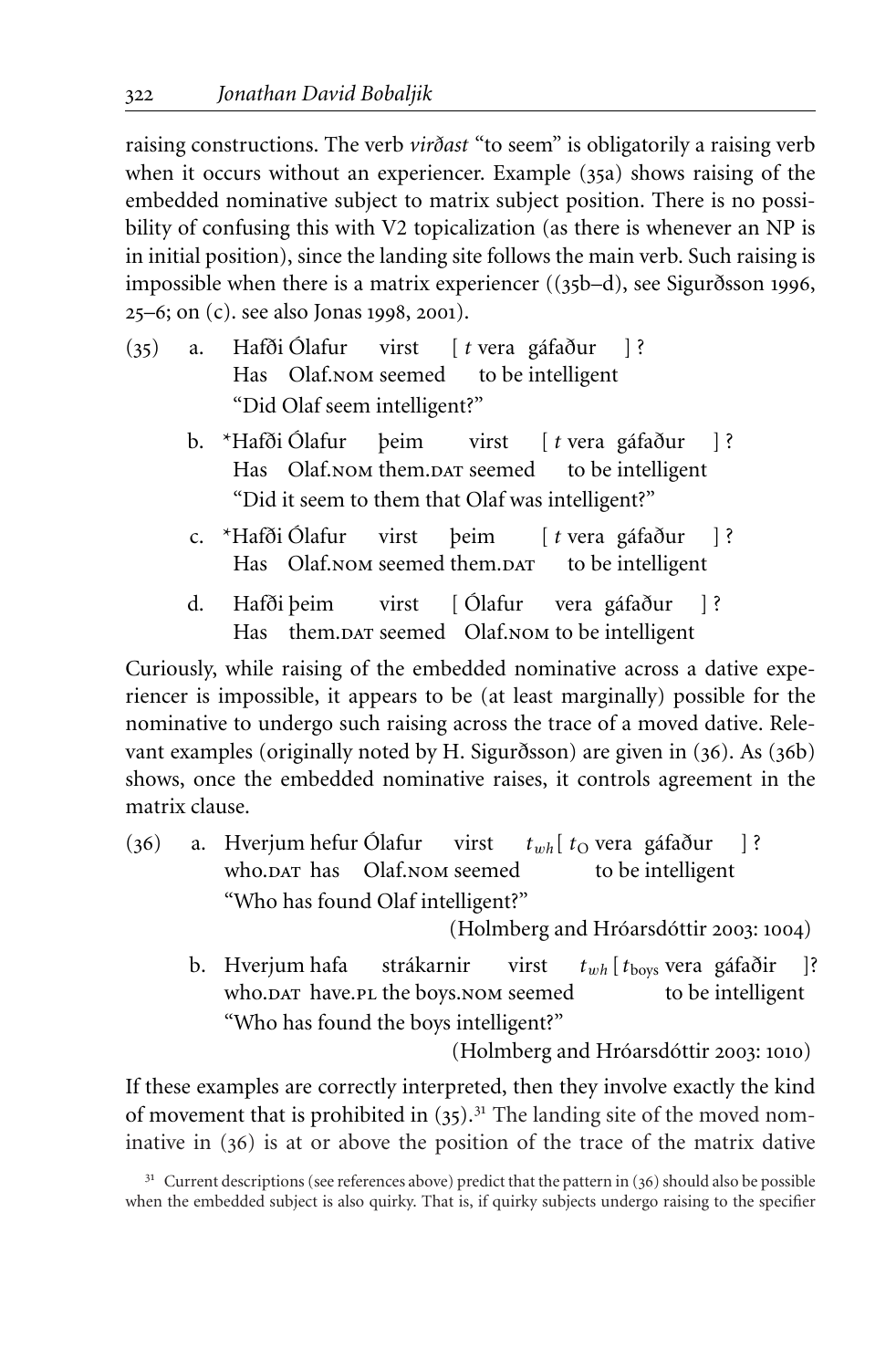raising constructions. The verb *virðast* "to seem" is obligatorily a raising verb when it occurs without an experiencer. Example (35a) shows raising of the embedded nominative subject to matrix subject position. There is no possibility of confusing this with V2 topicalization (as there is whenever an NP is in initial position), since the landing site follows the main verb. Such raising is impossible when there is a matrix experiencer ((35b–d), see Sigurðsson 1996, 25–6; on (c). see also Jonas 1998, 2001).

- (35) a. Hafði Ólafur virst Has Olaf.nom seemed [ *t* vera gáfaður to be intelligent ] ? "Did Olaf seem intelligent?"
	- b. \*Hafði Ólafur Has Olaf.Nom them.DAT seemed þeim virst [ *t* vera gáfaður to be intelligent ] ? "Did it seem to them that Olaf was intelligent?"
	- c. \*Hafði Ólafur Has Olaf.NOM seemed them.DAT virst þeim [ *t* vera gáfaður to be intelligent ] ?
	- d. Hafði þeim Has them.DAT seemed Olaf.NOM to be intelligent virst [ Ólafur vera gáfaður ] ?

Curiously, while raising of the embedded nominative across a dative experiencer is impossible, it appears to be (at least marginally) possible for the nominative to undergo such raising across the trace of a moved dative. Relevant examples (originally noted by H. Sigurðsson) are given in (36). As (36b) shows, once the embedded nominative raises, it controls agreement in the matrix clause.

(36) a. Hverjum hefur Ólafur who.DAT has Olaf.NOM seemed virst  $t_{wh}$ [  $t_{\rm O}$  vera gáfaður to be intelligent ] ? "Who has found Olaf intelligent?"

(Holmberg and Hróarsdóttir 2003: 1004)

b. Hverjum hafa who.DAT have.PL the boys.NOM seemed strákarnir virst *t*<sup>w</sup>*<sup>h</sup>* [*t*boys vera gáfaðir ]? to be intelligent "Who has found the boys intelligent?"

(Holmberg and Hróarsdóttir 2003: 1010)

If these examples are correctly interpreted, then they involve exactly the kind of movement that is prohibited in  $(35).$ <sup>31</sup> The landing site of the moved nominative in (36) is at or above the position of the trace of the matrix dative

 $31$  Current descriptions (see references above) predict that the pattern in (36) should also be possible when the embedded subject is also quirky. That is, if quirky subjects undergo raising to the specifier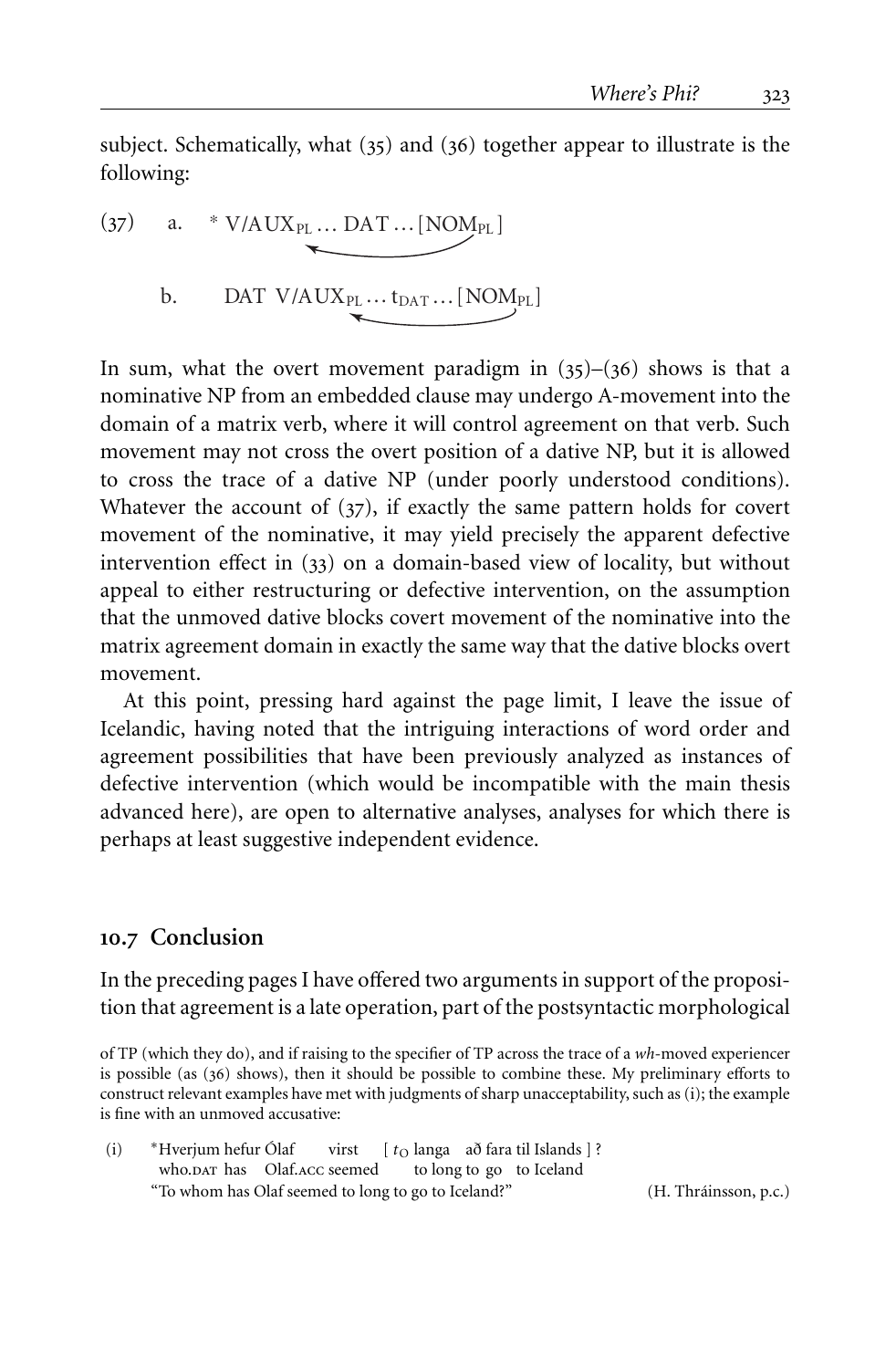subject. Schematically, what (35) and (36) together appear to illustrate is the following:

(37) a. 
$$
* V/AUX_{PL} \dots DAT \dots [NOM_{PL}]
$$
 \nb. DAT  $V/AUX_{PL} \dots t_{DAT} \dots [NOM_{PL}]$ 

In sum, what the overt movement paradigm in  $(35)-(36)$  shows is that a nominative NP from an embedded clause may undergo A-movement into the domain of a matrix verb, where it will control agreement on that verb. Such movement may not cross the overt position of a dative NP, but it is allowed to cross the trace of a dative NP (under poorly understood conditions). Whatever the account of  $(37)$ , if exactly the same pattern holds for covert movement of the nominative, it may yield precisely the apparent defective intervention effect in (33) on a domain-based view of locality, but without appeal to either restructuring or defective intervention, on the assumption that the unmoved dative blocks covert movement of the nominative into the matrix agreement domain in exactly the same way that the dative blocks overt movement.

At this point, pressing hard against the page limit, I leave the issue of Icelandic, having noted that the intriguing interactions of word order and agreement possibilities that have been previously analyzed as instances of defective intervention (which would be incompatible with the main thesis advanced here), are open to alternative analyses, analyses for which there is perhaps at least suggestive independent evidence.

## **10.7 Conclusion**

In the preceding pages I have offered two arguments in support of the proposition that agreement is a late operation, part of the postsyntactic morphological

of TP (which they do), and if raising to the specifier of TP across the trace of a *wh*-moved experiencer is possible (as (36) shows), then it should be possible to combine these. My preliminary efforts to construct relevant examples have met with judgments of sharp unacceptability, such as (i); the example is fine with an unmoved accusative:

(i) ∗Hverjum hefur Ólaf who.DAT has Olaf.ACC seemed virst [ *t*<sub>O</sub> langa að fara til Islands ] ? to long to go to Iceland "To whom has Olaf seemed to long to go to Iceland?" (H. Thráinsson, p.c.)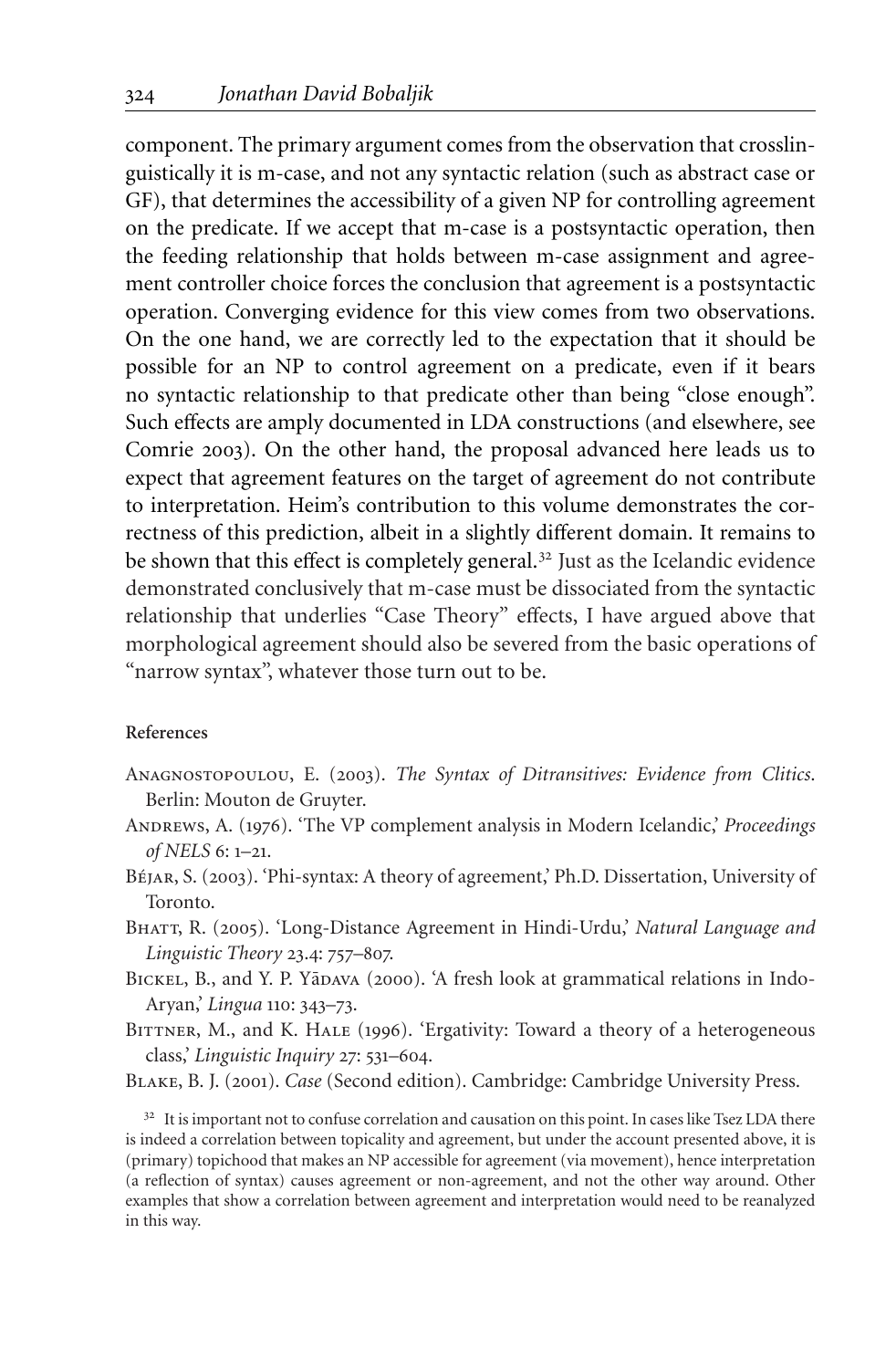component. The primary argument comes from the observation that crosslinguistically it is m-case, and not any syntactic relation (such as abstract case or GF), that determines the accessibility of a given NP for controlling agreement on the predicate. If we accept that m-case is a postsyntactic operation, then the feeding relationship that holds between m-case assignment and agreement controller choice forces the conclusion that agreement is a postsyntactic operation. Converging evidence for this view comes from two observations. On the one hand, we are correctly led to the expectation that it should be possible for an NP to control agreement on a predicate, even if it bears no syntactic relationship to that predicate other than being "close enough". Such effects are amply documented in LDA constructions (and elsewhere, see Comrie 2003). On the other hand, the proposal advanced here leads us to expect that agreement features on the target of agreement do not contribute to interpretation. Heim's contribution to this volume demonstrates the correctness of this prediction, albeit in a slightly different domain. It remains to be shown that this effect is completely general.<sup>32</sup> Just as the Icelandic evidence demonstrated conclusively that m-case must be dissociated from the syntactic relationship that underlies "Case Theory" effects, I have argued above that morphological agreement should also be severed from the basic operations of "narrow syntax", whatever those turn out to be.

#### **References**

- Anagnostopoulou, E. (2003). *The Syntax of Ditransitives: Evidence from Clitics*. Berlin: Mouton de Gruyter.
- Andrews, A. (1976). 'The VP complement analysis in Modern Icelandic,' *Proceedings of NELS* 6: 1–21.
- Béjar, S. (2003). 'Phi-syntax: A theory of agreement,' Ph.D. Dissertation, University of Toronto.
- BHATT, R. (2005). 'Long-Distance Agreement in Hindi-Urdu,' *Natural Language and Linguistic Theory* 23.4: 757–807.
- BICKEL, B., and Y. P. YāDAVA (2000). 'A fresh look at grammatical relations in Indo-Aryan,' *Lingua* 110: 343–73.
- BITTNER, M., and K. HALE (1996). 'Ergativity: Toward a theory of a heterogeneous class,' *Linguistic Inquiry* 27: 531–604.

Blake, B. J. (2001). *Case* (Second edition). Cambridge: Cambridge University Press.

<sup>32</sup> It is important not to confuse correlation and causation on this point. In cases like Tsez LDA there is indeed a correlation between topicality and agreement, but under the account presented above, it is (primary) topichood that makes an NP accessible for agreement (via movement), hence interpretation (a reflection of syntax) causes agreement or non-agreement, and not the other way around. Other examples that show a correlation between agreement and interpretation would need to be reanalyzed in this way.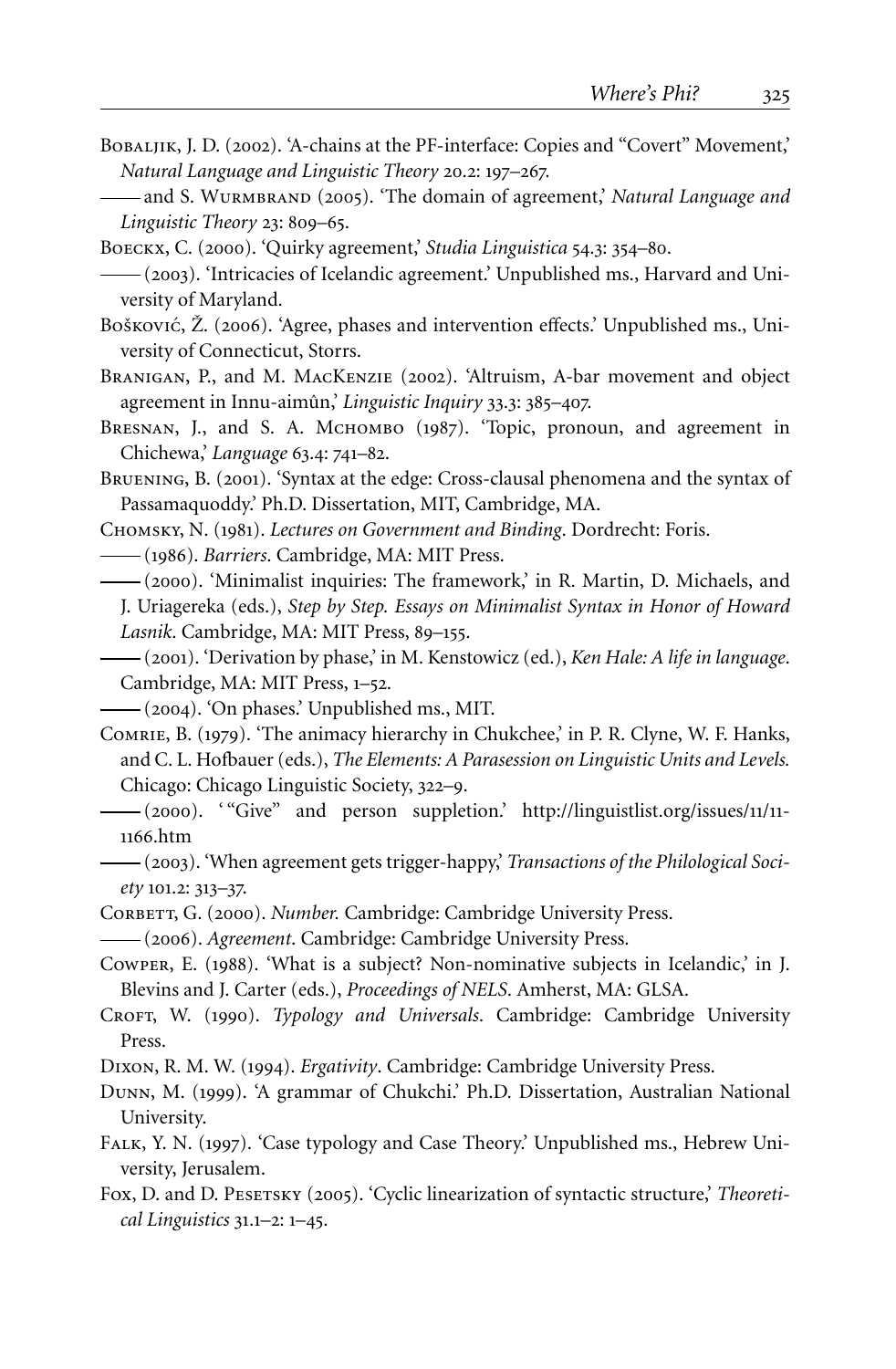Bobaljik, J. D. (2002). 'A-chains at the PF-interface: Copies and "Covert" Movement,' *Natural Language and Linguistic Theory* 20.2: 197–267.

and S. Wurmbrand (2005). 'The domain of agreement,' *Natural Language and Linguistic Theory* 23: 809–65.

Boeckx, C. (2000). 'Quirky agreement,' *Studia Linguistica* 54.3: 354–80.

(2003). 'Intricacies of Icelandic agreement.' Unpublished ms., Harvard and University of Maryland.

- Bošković, Ž. (2006). 'Agree, phases and intervention effects.' Unpublished ms., University of Connecticut, Storrs.
- Branigan, P., and M. MacKenzie (2002). 'Altruism, A-bar movement and object agreement in Innu-aimûn,' *Linguistic Inquiry* 33.3: 385–407.
- BRESNAN, J., and S. A. MCHOMBO (1987). 'Topic, pronoun, and agreement in Chichewa,' *Language* 63.4: 741–82.
- Bruening, B. (2001). 'Syntax at the edge: Cross-clausal phenomena and the syntax of Passamaquoddy.' Ph.D. Dissertation, MIT, Cambridge, MA.

Chomsky, N. (1981). *Lectures on Government and Binding*. Dordrecht: Foris.

(1986). *Barriers*. Cambridge, MA: MIT Press.

(2000). 'Minimalist inquiries: The framework,' in R. Martin, D. Michaels, and J. Uriagereka (eds.), *Step by Step. Essays on Minimalist Syntax in Honor of Howard Lasnik*. Cambridge, MA: MIT Press, 89–155.

(2001). 'Derivation by phase,' in M. Kenstowicz (ed.), *Ken Hale: A life in language*. Cambridge, MA: MIT Press, 1–52.

 $-(2004)$ . 'On phases.' Unpublished ms., MIT.

Comrie, B. (1979). 'The animacy hierarchy in Chukchee,' in P. R. Clyne, W. F. Hanks, and C. L. Hofbauer (eds.), *The Elements: A Parasession on Linguistic Units and Levels.* Chicago: Chicago Linguistic Society, 322–9.

(2000). ' "Give" and person suppletion.' [http://linguistlist.org/issues/](http://linguistlist.org/issues/11/11-1166.htm)11/11- 1166[.htm](http://linguistlist.org/issues/11/11-1166.htm)

(2003). 'When agreement gets trigger-happy,' *Transactions of the Philological Society* 101.2: 313–37.

CORBETT, G. (2000). *Number*. Cambridge: Cambridge University Press.

(2006). *Agreement*. Cambridge: Cambridge University Press.

Cowper, E. (1988). 'What is a subject? Non-nominative subjects in Icelandic,' in J. Blevins and J. Carter (eds.), *Proceedings of NELS*. Amherst, MA: GLSA.

Croft, W. (1990). *Typology and Universals*. Cambridge: Cambridge University Press.

Dixon, R. M. W. (1994). *Ergativity*. Cambridge: Cambridge University Press.

Dunn, M. (1999). 'A grammar of Chukchi.' Ph.D. Dissertation, Australian National University.

Falk, Y. N. (1997). 'Case typology and Case Theory.' Unpublished ms., Hebrew University, Jerusalem.

Fox, D. and D. Pesetsky (2005). 'Cyclic linearization of syntactic structure,' *Theoretical Linguistics* 31.1–2: 1–45.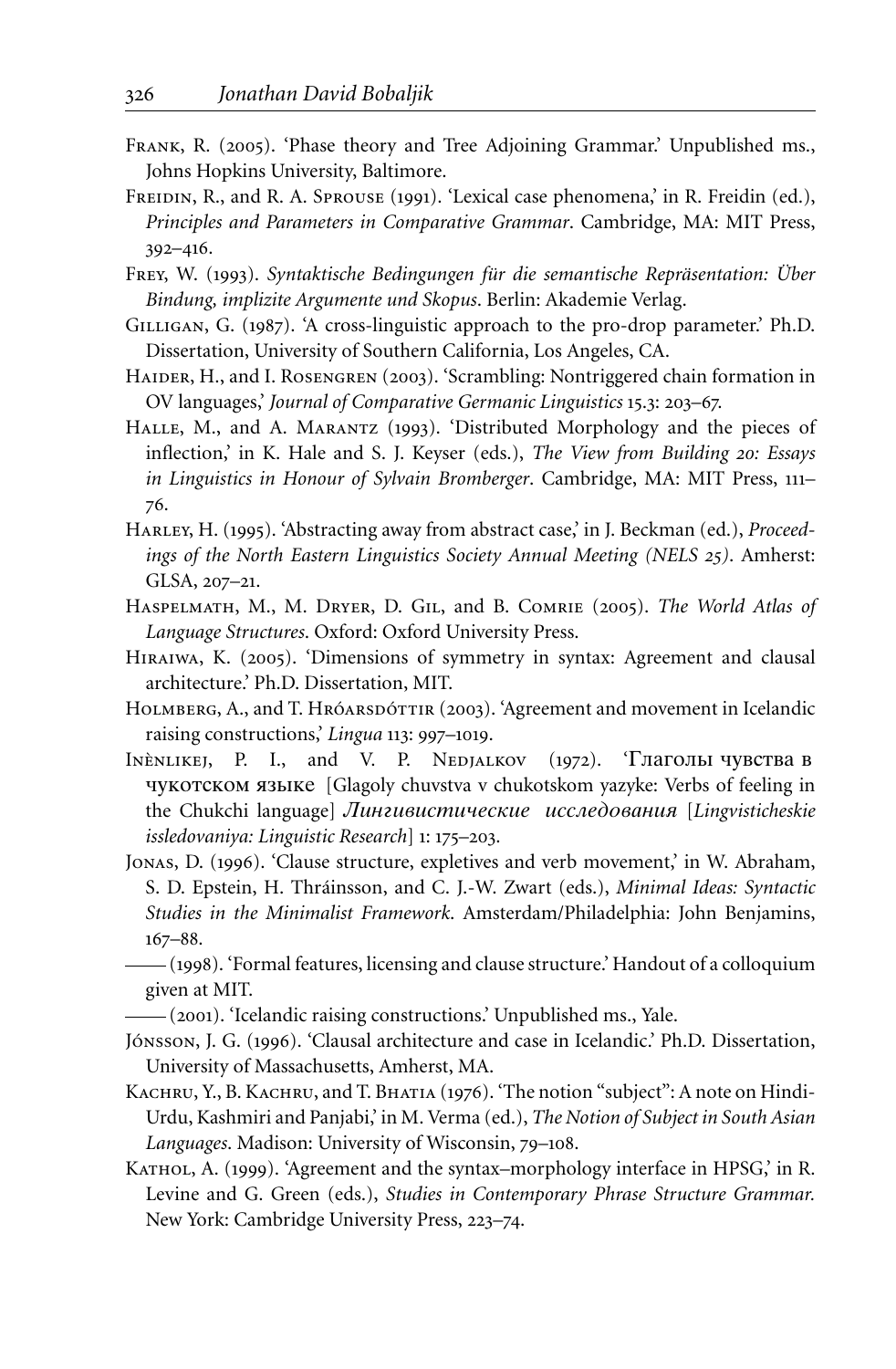- Frank, R. (2005). 'Phase theory and Tree Adjoining Grammar.' Unpublished ms., Johns Hopkins University, Baltimore.
- Freidin, R., and R. A. Sprouse (1991). 'Lexical case phenomena,' in R. Freidin (ed.), *Principles and Parameters in Comparative Grammar*. Cambridge, MA: MIT Press, 392–416.
- Frey, W. (1993). *Syntaktische Bedingungen für die semantische Repräsentation: Über Bindung, implizite Argumente und Skopus*. Berlin: Akademie Verlag.
- Gilligan, G. (1987). 'A cross-linguistic approach to the pro-drop parameter.' Ph.D. Dissertation, University of Southern California, Los Angeles, CA.
- HAIDER, H., and I. ROSENGREN (2003). 'Scrambling: Nontriggered chain formation in OV languages,' *Journal of Comparative Germanic Linguistics* 15.3: 203–67.
- Halle, M., and A. Marantz (1993). 'Distributed Morphology and the pieces of inflection,' in K. Hale and S. J. Keyser (eds.), *The View from Building 20: Essays in Linguistics in Honour of Sylvain Bromberger*. Cambridge, MA: MIT Press, 111– 76.
- Harley, H. (1995). 'Abstracting away from abstract case,' in J. Beckman (ed.), *Proceedings of the North Eastern Linguistics Society Annual Meeting (NELS 25)*. Amherst: GLSA, 207–21.
- Haspelmath, M., M. Dryer, D. Gil, and B. Comrie (2005). *The World Atlas of Language Structures*. Oxford: Oxford University Press.
- Hiraiwa, K. (2005). 'Dimensions of symmetry in syntax: Agreement and clausal architecture.' Ph.D. Dissertation, MIT.
- HOLMBERG, A., and T. HRÓARSDÓTTIR (2003). 'Agreement and movement in Icelandic raising constructions,' *Lingua* 113: 997–1019.
- Inènlikej, P. I., and V. P. Nedjalkov (1972). 'Глаголы чувства в чукотском языке [Glagoly chuvstva v chukotskom yazyke: Verbs of feeling in the Chukchi language] *Лингивиcmичecкиe иccлeдования* [*Lingvisticheskie issledovaniya: Linguistic Research*] 1: 175–203.
- Jonas, D. (1996). 'Clause structure, expletives and verb movement,' in W. Abraham, S. D. Epstein, H. Thráinsson, and C. J.-W. Zwart (eds.), *Minimal Ideas: Syntactic Studies in the Minimalist Framework*. Amsterdam/Philadelphia: John Benjamins, 167–88.
	- (1998). 'Formal features, licensing and clause structure.' Handout of a colloquium given at MIT.
	- (2001). 'Icelandic raising constructions.' Unpublished ms., Yale.
- Jónsson, J. G. (1996). 'Clausal architecture and case in Icelandic.' Ph.D. Dissertation, University of Massachusetts, Amherst, MA.
- Kachru, Y., B. Kachru, and T. Bhatia (1976). 'The notion "subject": A note on Hindi-Urdu, Kashmiri and Panjabi,' in M. Verma (ed.), *The Notion of Subject in South Asian Languages*. Madison: University of Wisconsin, 79–108.
- Kathol, A. (1999). 'Agreement and the syntax–morphology interface in HPSG,' in R. Levine and G. Green (eds.), *Studies in Contemporary Phrase Structure Grammar.* New York: Cambridge University Press, 223–74.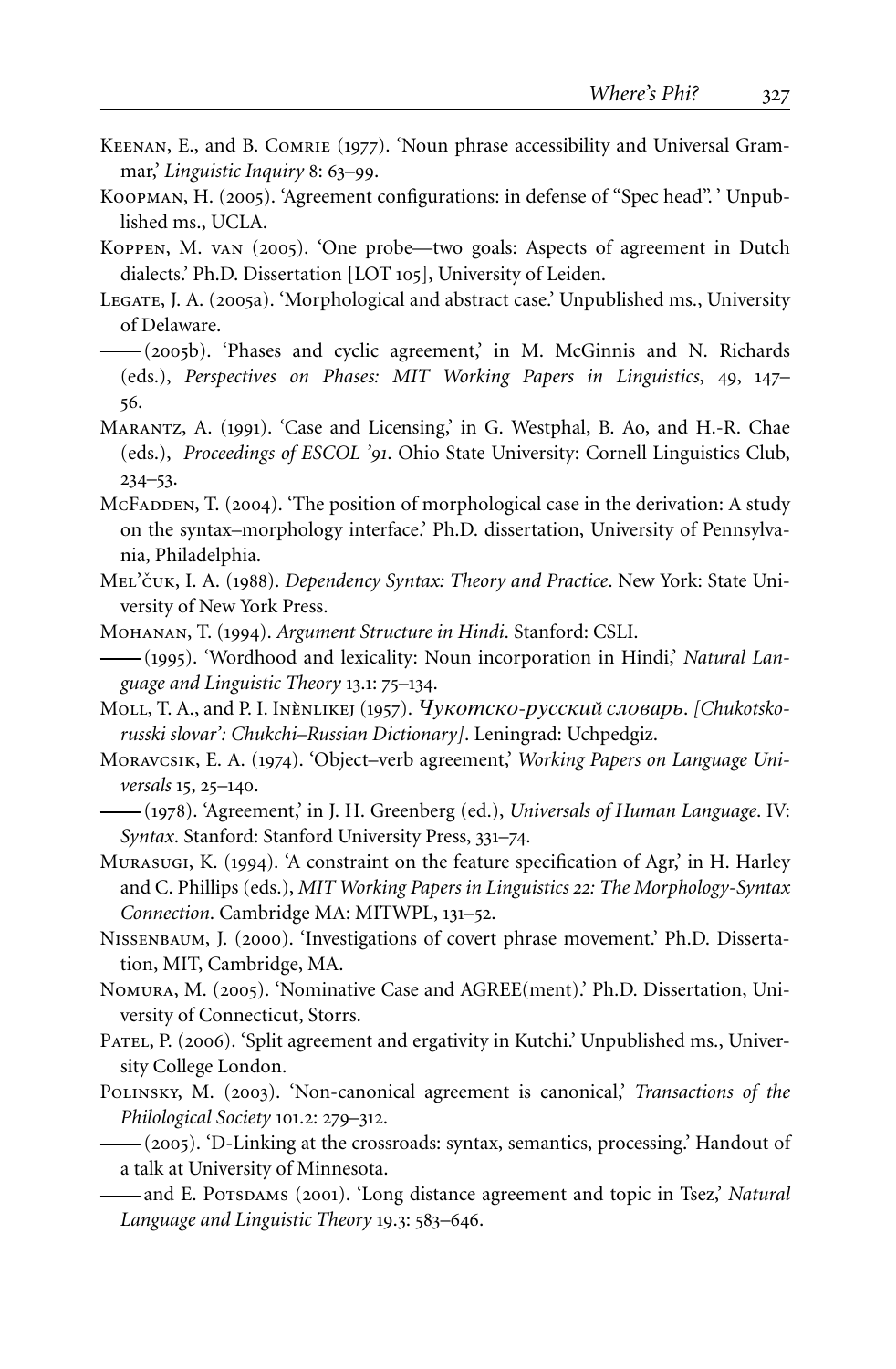- Keenan, E., and B. Comrie (1977). 'Noun phrase accessibility and Universal Grammar,' *Linguistic Inquiry* 8: 63–99.
- Koopman, H. (2005). 'Agreement configurations: in defense of "Spec head". ' Unpublished ms., UCLA.
- Koppen, M. van (2005). 'One probe—two goals: Aspects of agreement in Dutch dialects.' Ph.D. Dissertation [LOT 105], University of Leiden.
- Legate, J. A. (2005a). 'Morphological and abstract case.' Unpublished ms., University of Delaware.
- (2005b). 'Phases and cyclic agreement,' in M. McGinnis and N. Richards (eds.), *Perspectives on Phases: MIT Working Papers in Linguistics*, 49, 147– 56.
- Marantz, A. (1991). 'Case and Licensing,' in G. Westphal, B. Ao, and H.-R. Chae (eds.), *Proceedings of ESCOL '91*. Ohio State University: Cornell Linguistics Club, 234–53.
- McFadden, T. (2004). 'The position of morphological case in the derivation: A study on the syntax–morphology interface.' Ph.D. dissertation, University of Pennsylvania, Philadelphia.
- MEL'CUK, I. A. (1988). *Dependency Syntax: Theory and Practice*. New York: State University of New York Press.
- Mohanan, T. (1994). *Argument Structure in Hindi*. Stanford: CSLI.
- (1995). 'Wordhood and lexicality: Noun incorporation in Hindi,' *Natural Language and Linguistic Theory* 13.1: 75–134.
- Moll, T. A., and P. I. Inènlikej (1957). *Чyкоmcко*-*pyccкии*˘ *cловаpь*. *[Chukotskorusski slovar': Chukchi–Russian Dictionary]*. Leningrad: Uchpedgiz.
- Moravcsik, E. A. (1974). 'Object–verb agreement,' *Working Papers on Language Universals* 15, 25–140.
- (1978). 'Agreement,' in J. H. Greenberg (ed.), *Universals of Human Language*. IV: *Syntax*. Stanford: Stanford University Press, 331–74.
- Murasugi, K. (1994). 'A constraint on the feature specification of Agr,' in H. Harley and C. Phillips (eds.), *MIT Working Papers in Linguistics 22: The Morphology-Syntax Connection*. Cambridge MA: MITWPL, 131–52.
- Nissenbaum, J. (2000). 'Investigations of covert phrase movement.' Ph.D. Dissertation, MIT, Cambridge, MA.
- Nomura, M. (2005). 'Nominative Case and AGREE(ment).' Ph.D. Dissertation, University of Connecticut, Storrs.
- Patel, P. (2006). 'Split agreement and ergativity in Kutchi.' Unpublished ms., University College London.
- POLINSKY, M. (2003). 'Non-canonical agreement is canonical,' *Transactions of the Philological Society* 101.2: 279–312.
- (2005). 'D-Linking at the crossroads: syntax, semantics, processing.' Handout of a talk at University of Minnesota.
- and E. Potsdams (2001). 'Long distance agreement and topic in Tsez,' *Natural Language and Linguistic Theory* 19.3: 583–646.